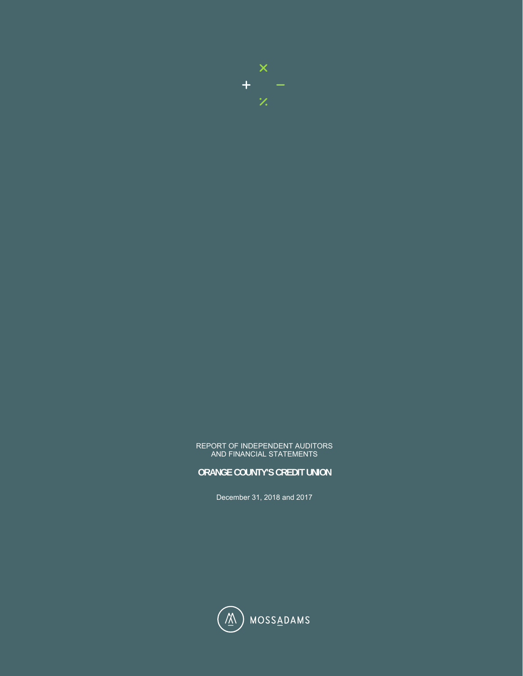

#### REPORT OF INDEPENDENT AUDITORS AND FINANCIAL STATEMENTS

#### **ORANGE COUNTY'S CREDIT UNION**

December 31, 2018 and 2017

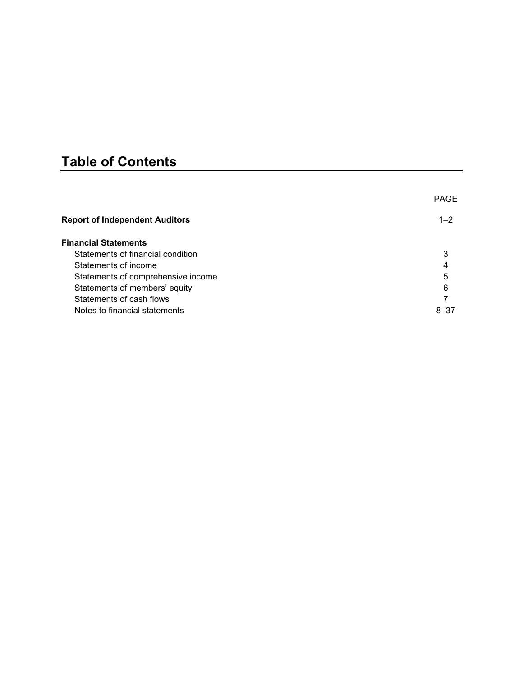# **Table of Contents**

|                                       | <b>PAGE</b> |
|---------------------------------------|-------------|
| <b>Report of Independent Auditors</b> | $1 - 2$     |
| <b>Financial Statements</b>           |             |
| Statements of financial condition     | 3           |
| Statements of income                  | 4           |
| Statements of comprehensive income    | 5           |
| Statements of members' equity         | 6           |
| Statements of cash flows              |             |
| Notes to financial statements         | $8 - 37$    |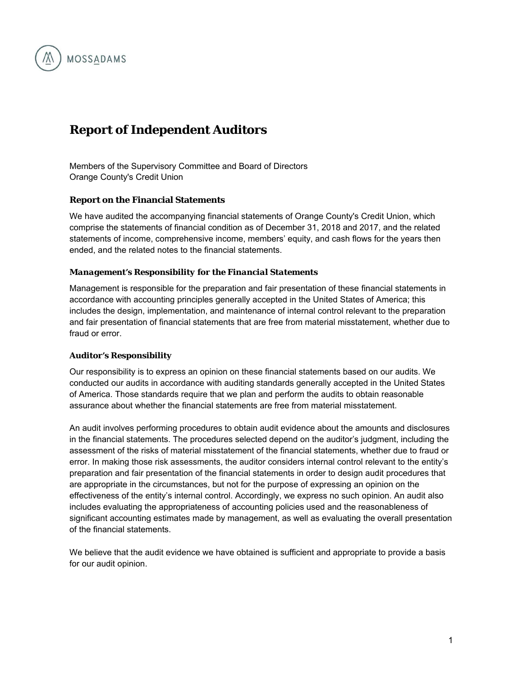## **Report of Independent Auditors**

Members of the Supervisory Committee and Board of Directors Orange County's Credit Union

#### **Report on the Financial Statements**

**MOSSADAMS** 

We have audited the accompanying financial statements of Orange County's Credit Union, which comprise the statements of financial condition as of December 31, 2018 and 2017, and the related statements of income, comprehensive income, members' equity, and cash flows for the years then ended, and the related notes to the financial statements.

#### *Management's Responsibility for the Financial Statements*

Management is responsible for the preparation and fair presentation of these financial statements in accordance with accounting principles generally accepted in the United States of America; this includes the design, implementation, and maintenance of internal control relevant to the preparation and fair presentation of financial statements that are free from material misstatement, whether due to fraud or error.

#### *Auditor's Responsibility*

Our responsibility is to express an opinion on these financial statements based on our audits. We conducted our audits in accordance with auditing standards generally accepted in the United States of America. Those standards require that we plan and perform the audits to obtain reasonable assurance about whether the financial statements are free from material misstatement.

An audit involves performing procedures to obtain audit evidence about the amounts and disclosures in the financial statements. The procedures selected depend on the auditor's judgment, including the assessment of the risks of material misstatement of the financial statements, whether due to fraud or error. In making those risk assessments, the auditor considers internal control relevant to the entity's preparation and fair presentation of the financial statements in order to design audit procedures that are appropriate in the circumstances, but not for the purpose of expressing an opinion on the effectiveness of the entity's internal control. Accordingly, we express no such opinion. An audit also includes evaluating the appropriateness of accounting policies used and the reasonableness of significant accounting estimates made by management, as well as evaluating the overall presentation of the financial statements.

We believe that the audit evidence we have obtained is sufficient and appropriate to provide a basis for our audit opinion.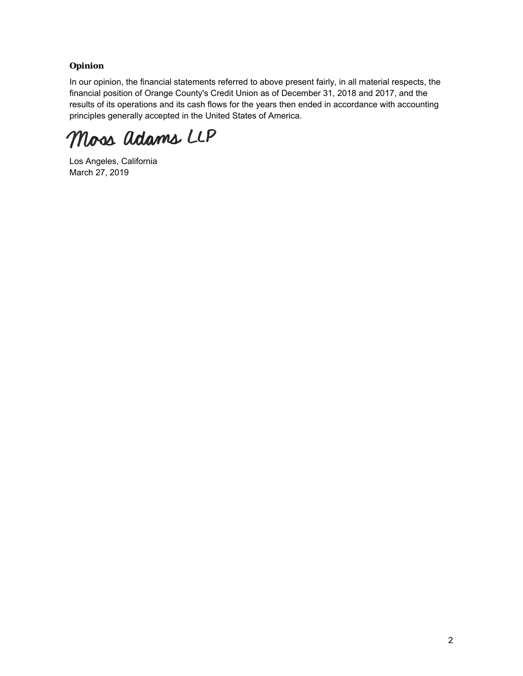#### *Opinion*

In our opinion, the financial statements referred to above present fairly, in all material respects, the financial position of Orange County's Credit Union as of December 31, 2018 and 2017, and the results of its operations and its cash flows for the years then ended in accordance with accounting principles generally accepted in the United States of America.

Moss adams LLP

Los Angeles, California March 27, 2019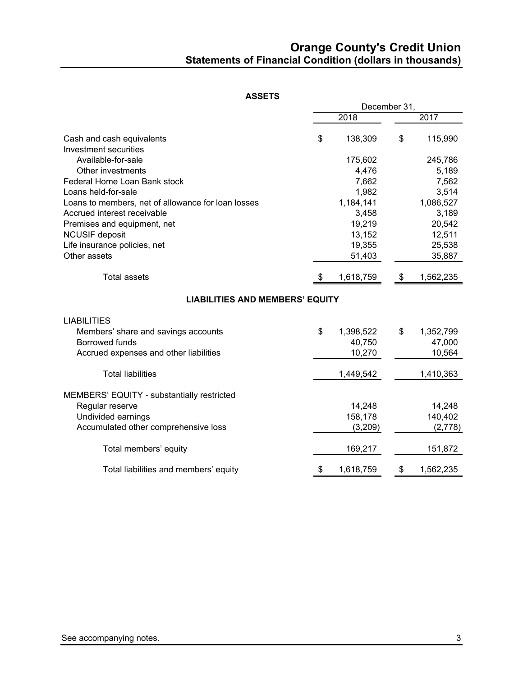## **Orange County's Credit Union Statements of Financial Condition (dollars in thousands)**

#### **ASSETS**

|                                                    |    | December 31, |    |           |  |  |
|----------------------------------------------------|----|--------------|----|-----------|--|--|
|                                                    |    | 2018         |    | 2017      |  |  |
| Cash and cash equivalents<br>Investment securities | \$ | 138,309      | \$ | 115,990   |  |  |
| Available-for-sale                                 |    | 175,602      |    | 245,786   |  |  |
| Other investments                                  |    | 4,476        |    | 5,189     |  |  |
| Federal Home Loan Bank stock                       |    | 7,662        |    | 7,562     |  |  |
| Loans held-for-sale                                |    | 1,982        |    | 3,514     |  |  |
| Loans to members, net of allowance for loan losses |    | 1,184,141    |    | 1,086,527 |  |  |
| Accrued interest receivable                        |    | 3,458        |    | 3,189     |  |  |
| Premises and equipment, net                        |    | 19,219       |    | 20,542    |  |  |
| <b>NCUSIF</b> deposit                              |    | 13,152       |    | 12,511    |  |  |
| Life insurance policies, net                       |    | 19,355       |    | 25,538    |  |  |
| Other assets                                       |    | 51,403       |    | 35,887    |  |  |
| <b>Total assets</b>                                | \$ | 1,618,759    | \$ | 1,562,235 |  |  |
| <b>LIABILITIES AND MEMBERS' EQUITY</b>             |    |              |    |           |  |  |
| <b>LIABILITIES</b>                                 |    |              |    |           |  |  |
| Members' share and savings accounts                | \$ | 1,398,522    | \$ | 1,352,799 |  |  |
| Borrowed funds                                     |    | 40,750       |    | 47,000    |  |  |
| Accrued expenses and other liabilities             |    | 10,270       |    | 10,564    |  |  |
| <b>Total liabilities</b>                           |    | 1,449,542    |    | 1,410,363 |  |  |
| MEMBERS' EQUITY - substantially restricted         |    |              |    |           |  |  |
| Regular reserve                                    |    | 14,248       |    | 14,248    |  |  |
| Undivided earnings                                 |    | 158,178      |    | 140,402   |  |  |
| Accumulated other comprehensive loss               |    | (3,209)      |    | (2,778)   |  |  |
| Total members' equity                              |    | 169,217      |    | 151,872   |  |  |
| Total liabilities and members' equity              | Ъ  | 1,618,759    | \$ | 1,562,235 |  |  |
|                                                    |    |              |    |           |  |  |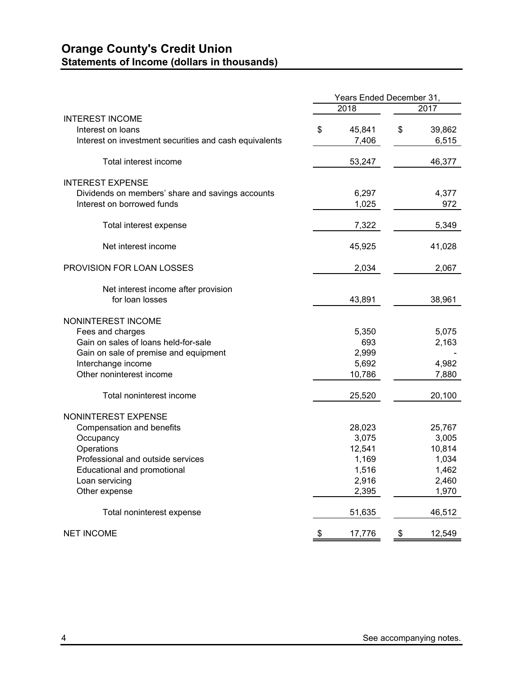## **Orange County's Credit Union Statements of Income (dollars in thousands)**

|                                                        | Years Ended December 31, |        |    |        |
|--------------------------------------------------------|--------------------------|--------|----|--------|
|                                                        |                          | 2018   |    | 2017   |
| <b>INTEREST INCOME</b>                                 |                          |        |    |        |
| Interest on loans                                      | \$                       | 45,841 | \$ | 39,862 |
| Interest on investment securities and cash equivalents |                          | 7,406  |    | 6,515  |
| Total interest income                                  |                          | 53,247 |    | 46,377 |
| <b>INTEREST EXPENSE</b>                                |                          |        |    |        |
| Dividends on members' share and savings accounts       |                          | 6,297  |    | 4,377  |
| Interest on borrowed funds                             |                          | 1,025  |    | 972    |
| Total interest expense                                 |                          | 7,322  |    | 5,349  |
| Net interest income                                    |                          | 45,925 |    | 41,028 |
| PROVISION FOR LOAN LOSSES                              |                          | 2,034  |    | 2,067  |
| Net interest income after provision                    |                          |        |    |        |
| for loan losses                                        |                          | 43,891 |    | 38,961 |
| NONINTEREST INCOME                                     |                          |        |    |        |
| Fees and charges                                       |                          | 5,350  |    | 5,075  |
| Gain on sales of loans held-for-sale                   |                          | 693    |    | 2,163  |
| Gain on sale of premise and equipment                  |                          | 2,999  |    |        |
| Interchange income                                     |                          | 5,692  |    | 4,982  |
| Other noninterest income                               |                          | 10,786 |    | 7,880  |
| Total noninterest income                               |                          | 25,520 |    | 20,100 |
| NONINTEREST EXPENSE                                    |                          |        |    |        |
| Compensation and benefits                              |                          | 28,023 |    | 25,767 |
| Occupancy                                              |                          | 3,075  |    | 3,005  |
| Operations                                             |                          | 12,541 |    | 10,814 |
| Professional and outside services                      |                          | 1,169  |    | 1,034  |
| Educational and promotional                            |                          | 1,516  |    | 1,462  |
| Loan servicing                                         |                          | 2,916  |    | 2,460  |
| Other expense                                          |                          | 2,395  |    | 1,970  |
| Total noninterest expense                              |                          | 51,635 |    | 46,512 |
| <b>NET INCOME</b>                                      | \$                       | 17,776 | \$ | 12,549 |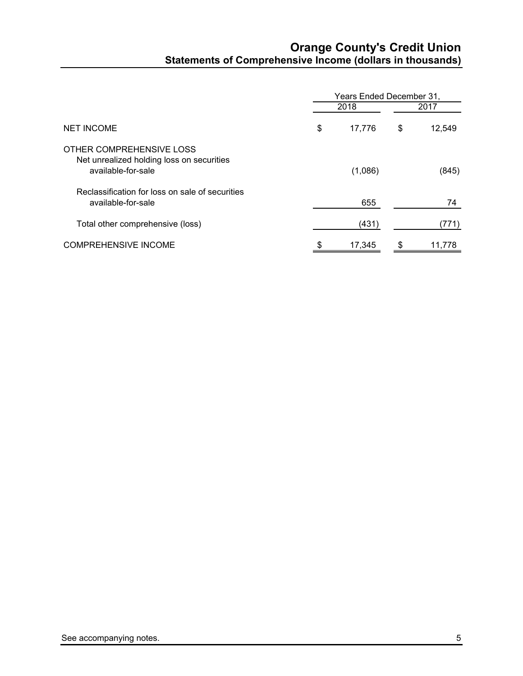## **Orange County's Credit Union Statements of Comprehensive Income (dollars in thousands)**

|                                                                                             | Years Ended December 31, |         |      |        |  |  |
|---------------------------------------------------------------------------------------------|--------------------------|---------|------|--------|--|--|
| <b>NET INCOME</b>                                                                           |                          | 2018    | 2017 |        |  |  |
|                                                                                             | \$                       | 17,776  | \$   | 12,549 |  |  |
| OTHER COMPREHENSIVE LOSS<br>Net unrealized holding loss on securities<br>available-for-sale |                          | (1,086) |      | (845)  |  |  |
| Reclassification for loss on sale of securities<br>available-for-sale                       |                          | 655     |      | 74     |  |  |
| Total other comprehensive (loss)                                                            |                          | (431)   |      | (771)  |  |  |
| <b>COMPREHENSIVE INCOME</b>                                                                 | \$                       | 17,345  |      | 11,778 |  |  |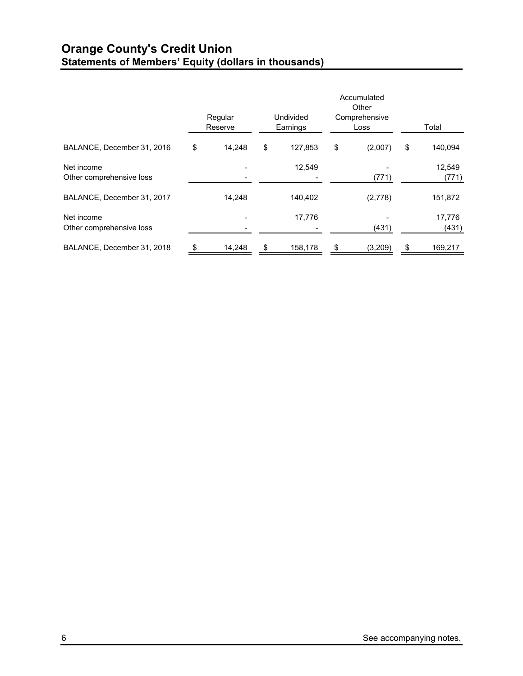## **Orange County's Credit Union Statements of Members' Equity (dollars in thousands)**

|                                        | Regular<br>Reserve | Undivided<br>Earnings |         |    |         | Accumulated<br>Other<br>Comprehensive<br>Loss |  | Total |
|----------------------------------------|--------------------|-----------------------|---------|----|---------|-----------------------------------------------|--|-------|
| BALANCE, December 31, 2016             | \$<br>14.248       | \$                    | 127,853 | \$ | (2,007) | \$<br>140,094                                 |  |       |
| Net income<br>Other comprehensive loss |                    |                       | 12,549  |    | (771)   | 12,549<br>(771)                               |  |       |
| BALANCE, December 31, 2017             | 14.248             |                       | 140,402 |    | (2,778) | 151,872                                       |  |       |
| Net income<br>Other comprehensive loss |                    |                       | 17,776  |    | (431)   | 17,776<br>(431)                               |  |       |
| BALANCE, December 31, 2018             | 14,248             | \$                    | 158,178 |    | (3,209) | \$<br>169,217                                 |  |       |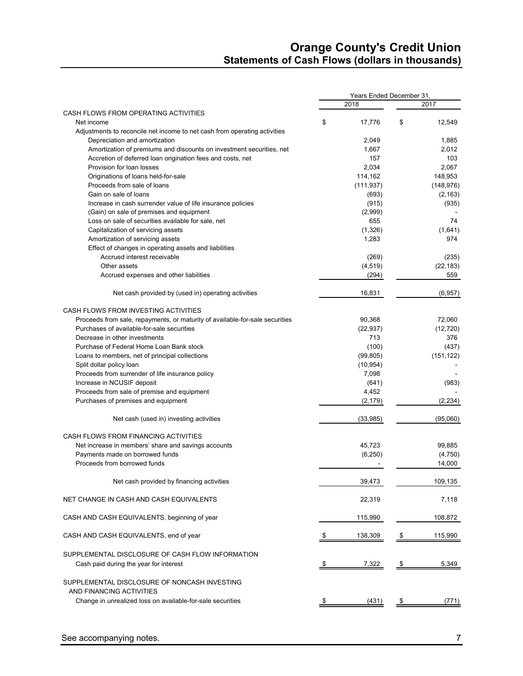## **Orange County's Credit Union Statements of Cash Flows (dollars in thousands)**

|                                                                                            | Years Ended December 31, |            |    |            |  |  |
|--------------------------------------------------------------------------------------------|--------------------------|------------|----|------------|--|--|
|                                                                                            |                          | 2018       |    | 2017       |  |  |
| CASH FLOWS FROM OPERATING ACTIVITIES                                                       |                          |            |    |            |  |  |
| Net income                                                                                 | \$                       | 17,776     | \$ | 12,549     |  |  |
| Adjustments to reconcile net income to net cash from operating activities                  |                          |            |    |            |  |  |
| Depreciation and amortization                                                              |                          | 2.049      |    | 1,885      |  |  |
| Amortization of premiums and discounts on investment securities, net                       |                          | 1,667      |    | 2,012      |  |  |
| Accretion of deferred loan origination fees and costs, net                                 |                          | 157        |    | 103        |  |  |
| Provision for loan losses                                                                  |                          | 2,034      |    | 2,067      |  |  |
| Originations of loans held-for-sale                                                        |                          | 114,162    |    | 148,953    |  |  |
| Proceeds from sale of loans                                                                |                          | (111, 937) |    | (148, 976) |  |  |
| Gain on sale of loans                                                                      |                          | (693)      |    | (2, 163)   |  |  |
| Increase in cash surrender value of life insurance policies                                |                          | (915)      |    | (935)      |  |  |
| (Gain) on sale of premises and equipment                                                   |                          | (2,999)    |    |            |  |  |
| Loss on sale of securities available for sale, net                                         |                          | 655        |    | 74         |  |  |
| Capitalization of servicing assets                                                         |                          | (1,326)    |    | (1,641)    |  |  |
| Amortization of servicing assets                                                           |                          | 1,283      |    | 974        |  |  |
| Effect of changes in operating assets and liabilities                                      |                          |            |    |            |  |  |
| Accrued interest receivable                                                                |                          | (269)      |    | (235)      |  |  |
| Other assets                                                                               |                          | (4, 519)   |    | (22, 183)  |  |  |
| Accrued expenses and other liabilities                                                     |                          | (294)      |    | 559        |  |  |
| Net cash provided by (used in) operating activities                                        |                          | 16,831     |    | (6, 957)   |  |  |
| CASH FLOWS FROM INVESTING ACTIVITIES                                                       |                          |            |    |            |  |  |
| Proceeds from sale, repayments, or maturity of available-for-sale securities               |                          | 90,368     |    | 72,060     |  |  |
| Purchases of available-for-sale securities                                                 |                          | (22, 937)  |    | (12, 720)  |  |  |
| Decrease in other investments                                                              |                          | 713        |    | 376        |  |  |
| Purchase of Federal Home Loan Bank stock                                                   |                          | (100)      |    | (437)      |  |  |
| Loans to members, net of principal collections                                             |                          | (99, 805)  |    | (151, 122) |  |  |
| Split dollar policy loan                                                                   |                          | (10, 954)  |    |            |  |  |
| Proceeds from surrender of life insurance policy                                           |                          | 7,098      |    |            |  |  |
| Increase in NCUSIF deposit                                                                 |                          | (641)      |    | (983)      |  |  |
| Proceeds from sale of premise and equipment                                                |                          | 4,452      |    |            |  |  |
| Purchases of premises and equipment                                                        |                          | (2, 179)   |    | (2, 234)   |  |  |
| Net cash (used in) investing activities                                                    |                          | (33,985)   |    | (95,060)   |  |  |
| CASH FLOWS FROM FINANCING ACTIVITIES                                                       |                          |            |    |            |  |  |
| Net increase in members' share and savings accounts                                        |                          | 45,723     |    | 99,885     |  |  |
| Payments made on borrowed funds                                                            |                          | (6, 250)   |    | (4,750)    |  |  |
| Proceeds from borrowed funds                                                               |                          |            |    | 14,000     |  |  |
| Net cash provided by financing activities                                                  |                          | 39,473     |    | 109,135    |  |  |
| NET CHANGE IN CASH AND CASH EQUIVALENTS                                                    |                          | 22,319     |    | 7,118      |  |  |
| CASH AND CASH EQUIVALENTS, beginning of year                                               |                          | 115,990    |    | 108,872    |  |  |
| CASH AND CASH EQUIVALENTS, end of year                                                     | S.                       | 138,309    | \$ | 115,990    |  |  |
|                                                                                            |                          |            |    |            |  |  |
| SUPPLEMENTAL DISCLOSURE OF CASH FLOW INFORMATION<br>Cash paid during the year for interest | \$                       | 7,322      | \$ | 5,349      |  |  |
| SUPPLEMENTAL DISCLOSURE OF NONCASH INVESTING                                               |                          |            |    |            |  |  |
| AND FINANCING ACTIVITIES                                                                   |                          |            |    |            |  |  |
| Change in unrealized loss on available-for-sale securities                                 |                          | (431)      |    | (771)      |  |  |
|                                                                                            |                          |            |    |            |  |  |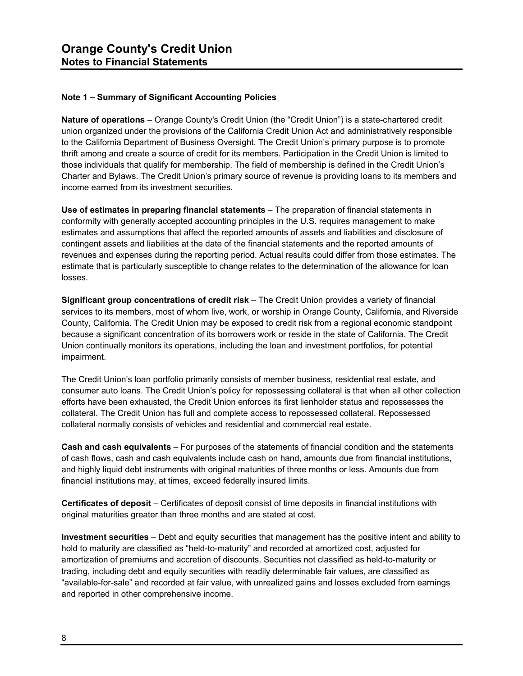#### **Note 1 – Summary of Significant Accounting Policies**

**Nature of operations** – Orange County's Credit Union (the "Credit Union") is a state-chartered credit union organized under the provisions of the California Credit Union Act and administratively responsible to the California Department of Business Oversight. The Credit Union's primary purpose is to promote thrift among and create a source of credit for its members. Participation in the Credit Union is limited to those individuals that qualify for membership. The field of membership is defined in the Credit Union's Charter and Bylaws. The Credit Union's primary source of revenue is providing loans to its members and income earned from its investment securities.

**Use of estimates in preparing financial statements** – The preparation of financial statements in conformity with generally accepted accounting principles in the U.S. requires management to make estimates and assumptions that affect the reported amounts of assets and liabilities and disclosure of contingent assets and liabilities at the date of the financial statements and the reported amounts of revenues and expenses during the reporting period. Actual results could differ from those estimates. The estimate that is particularly susceptible to change relates to the determination of the allowance for loan losses.

**Significant group concentrations of credit risk** – The Credit Union provides a variety of financial services to its members, most of whom live, work, or worship in Orange County, California, and Riverside County, California. The Credit Union may be exposed to credit risk from a regional economic standpoint because a significant concentration of its borrowers work or reside in the state of California. The Credit Union continually monitors its operations, including the loan and investment portfolios, for potential impairment.

The Credit Union's loan portfolio primarily consists of member business, residential real estate, and consumer auto loans. The Credit Union's policy for repossessing collateral is that when all other collection efforts have been exhausted, the Credit Union enforces its first lienholder status and repossesses the collateral. The Credit Union has full and complete access to repossessed collateral. Repossessed collateral normally consists of vehicles and residential and commercial real estate.

**Cash and cash equivalents** – For purposes of the statements of financial condition and the statements of cash flows, cash and cash equivalents include cash on hand, amounts due from financial institutions, and highly liquid debt instruments with original maturities of three months or less. Amounts due from financial institutions may, at times, exceed federally insured limits.

**Certificates of deposit** – Certificates of deposit consist of time deposits in financial institutions with original maturities greater than three months and are stated at cost.

**Investment securities** – Debt and equity securities that management has the positive intent and ability to hold to maturity are classified as "held-to-maturity" and recorded at amortized cost, adjusted for amortization of premiums and accretion of discounts. Securities not classified as held-to-maturity or trading, including debt and equity securities with readily determinable fair values, are classified as "available-for-sale" and recorded at fair value, with unrealized gains and losses excluded from earnings and reported in other comprehensive income.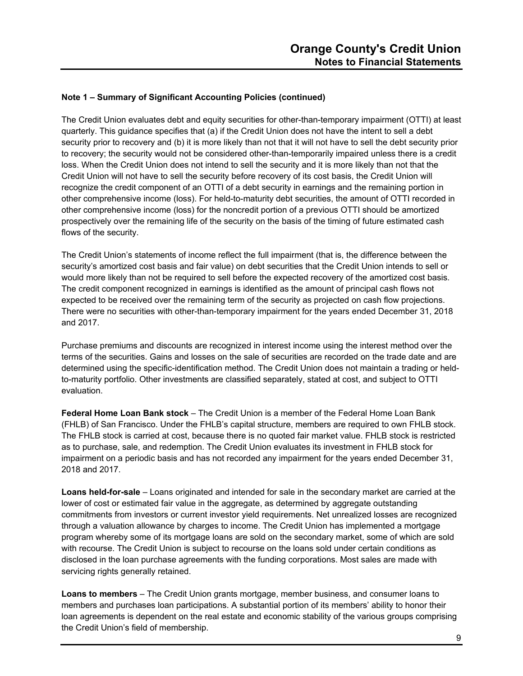The Credit Union evaluates debt and equity securities for other-than-temporary impairment (OTTI) at least quarterly. This guidance specifies that (a) if the Credit Union does not have the intent to sell a debt security prior to recovery and (b) it is more likely than not that it will not have to sell the debt security prior to recovery; the security would not be considered other-than-temporarily impaired unless there is a credit loss. When the Credit Union does not intend to sell the security and it is more likely than not that the Credit Union will not have to sell the security before recovery of its cost basis, the Credit Union will recognize the credit component of an OTTI of a debt security in earnings and the remaining portion in other comprehensive income (loss). For held-to-maturity debt securities, the amount of OTTI recorded in other comprehensive income (loss) for the noncredit portion of a previous OTTI should be amortized prospectively over the remaining life of the security on the basis of the timing of future estimated cash flows of the security.

The Credit Union's statements of income reflect the full impairment (that is, the difference between the security's amortized cost basis and fair value) on debt securities that the Credit Union intends to sell or would more likely than not be required to sell before the expected recovery of the amortized cost basis. The credit component recognized in earnings is identified as the amount of principal cash flows not expected to be received over the remaining term of the security as projected on cash flow projections. There were no securities with other-than-temporary impairment for the years ended December 31, 2018 and 2017.

Purchase premiums and discounts are recognized in interest income using the interest method over the terms of the securities. Gains and losses on the sale of securities are recorded on the trade date and are determined using the specific-identification method. The Credit Union does not maintain a trading or heldto-maturity portfolio. Other investments are classified separately, stated at cost, and subject to OTTI evaluation.

**Federal Home Loan Bank stock** – The Credit Union is a member of the Federal Home Loan Bank (FHLB) of San Francisco. Under the FHLB's capital structure, members are required to own FHLB stock. The FHLB stock is carried at cost, because there is no quoted fair market value. FHLB stock is restricted as to purchase, sale, and redemption. The Credit Union evaluates its investment in FHLB stock for impairment on a periodic basis and has not recorded any impairment for the years ended December 31, 2018 and 2017.

**Loans held-for-sale** – Loans originated and intended for sale in the secondary market are carried at the lower of cost or estimated fair value in the aggregate, as determined by aggregate outstanding commitments from investors or current investor yield requirements. Net unrealized losses are recognized through a valuation allowance by charges to income. The Credit Union has implemented a mortgage program whereby some of its mortgage loans are sold on the secondary market, some of which are sold with recourse. The Credit Union is subject to recourse on the loans sold under certain conditions as disclosed in the loan purchase agreements with the funding corporations. Most sales are made with servicing rights generally retained.

**Loans to members** – The Credit Union grants mortgage, member business, and consumer loans to members and purchases loan participations. A substantial portion of its members' ability to honor their loan agreements is dependent on the real estate and economic stability of the various groups comprising the Credit Union's field of membership.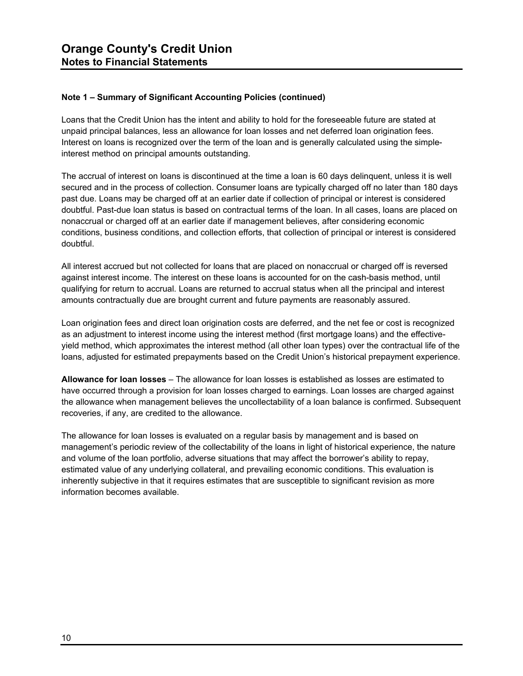Loans that the Credit Union has the intent and ability to hold for the foreseeable future are stated at unpaid principal balances, less an allowance for loan losses and net deferred loan origination fees. Interest on loans is recognized over the term of the loan and is generally calculated using the simpleinterest method on principal amounts outstanding.

The accrual of interest on loans is discontinued at the time a loan is 60 days delinquent, unless it is well secured and in the process of collection. Consumer loans are typically charged off no later than 180 days past due. Loans may be charged off at an earlier date if collection of principal or interest is considered doubtful. Past-due loan status is based on contractual terms of the loan. In all cases, loans are placed on nonaccrual or charged off at an earlier date if management believes, after considering economic conditions, business conditions, and collection efforts, that collection of principal or interest is considered doubtful.

All interest accrued but not collected for loans that are placed on nonaccrual or charged off is reversed against interest income. The interest on these loans is accounted for on the cash-basis method, until qualifying for return to accrual. Loans are returned to accrual status when all the principal and interest amounts contractually due are brought current and future payments are reasonably assured.

Loan origination fees and direct loan origination costs are deferred, and the net fee or cost is recognized as an adjustment to interest income using the interest method (first mortgage loans) and the effectiveyield method, which approximates the interest method (all other loan types) over the contractual life of the loans, adjusted for estimated prepayments based on the Credit Union's historical prepayment experience.

**Allowance for loan losses** – The allowance for loan losses is established as losses are estimated to have occurred through a provision for loan losses charged to earnings. Loan losses are charged against the allowance when management believes the uncollectability of a loan balance is confirmed. Subsequent recoveries, if any, are credited to the allowance.

The allowance for loan losses is evaluated on a regular basis by management and is based on management's periodic review of the collectability of the loans in light of historical experience, the nature and volume of the loan portfolio, adverse situations that may affect the borrower's ability to repay, estimated value of any underlying collateral, and prevailing economic conditions. This evaluation is inherently subjective in that it requires estimates that are susceptible to significant revision as more information becomes available.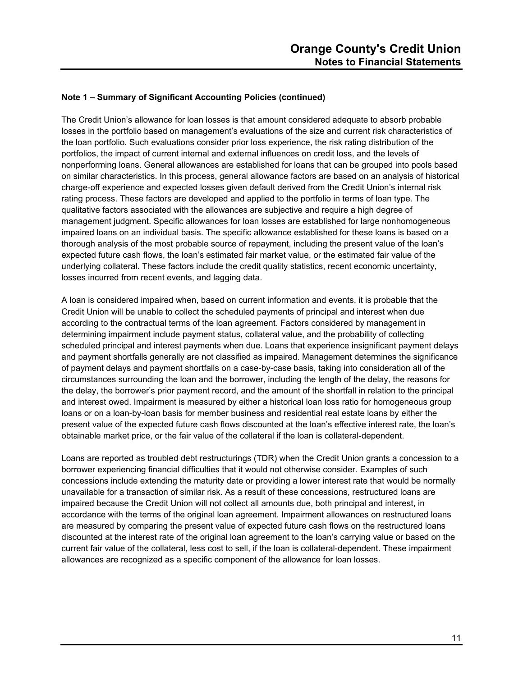The Credit Union's allowance for loan losses is that amount considered adequate to absorb probable losses in the portfolio based on management's evaluations of the size and current risk characteristics of the loan portfolio. Such evaluations consider prior loss experience, the risk rating distribution of the portfolios, the impact of current internal and external influences on credit loss, and the levels of nonperforming loans. General allowances are established for loans that can be grouped into pools based on similar characteristics. In this process, general allowance factors are based on an analysis of historical charge-off experience and expected losses given default derived from the Credit Union's internal risk rating process. These factors are developed and applied to the portfolio in terms of loan type. The qualitative factors associated with the allowances are subjective and require a high degree of management judgment. Specific allowances for loan losses are established for large nonhomogeneous impaired loans on an individual basis. The specific allowance established for these loans is based on a thorough analysis of the most probable source of repayment, including the present value of the loan's expected future cash flows, the loan's estimated fair market value, or the estimated fair value of the underlying collateral. These factors include the credit quality statistics, recent economic uncertainty, losses incurred from recent events, and lagging data.

A loan is considered impaired when, based on current information and events, it is probable that the Credit Union will be unable to collect the scheduled payments of principal and interest when due according to the contractual terms of the loan agreement. Factors considered by management in determining impairment include payment status, collateral value, and the probability of collecting scheduled principal and interest payments when due. Loans that experience insignificant payment delays and payment shortfalls generally are not classified as impaired. Management determines the significance of payment delays and payment shortfalls on a case-by-case basis, taking into consideration all of the circumstances surrounding the loan and the borrower, including the length of the delay, the reasons for the delay, the borrower's prior payment record, and the amount of the shortfall in relation to the principal and interest owed. Impairment is measured by either a historical loan loss ratio for homogeneous group loans or on a loan-by-loan basis for member business and residential real estate loans by either the present value of the expected future cash flows discounted at the loan's effective interest rate, the loan's obtainable market price, or the fair value of the collateral if the loan is collateral-dependent.

Loans are reported as troubled debt restructurings (TDR) when the Credit Union grants a concession to a borrower experiencing financial difficulties that it would not otherwise consider. Examples of such concessions include extending the maturity date or providing a lower interest rate that would be normally unavailable for a transaction of similar risk. As a result of these concessions, restructured loans are impaired because the Credit Union will not collect all amounts due, both principal and interest, in accordance with the terms of the original loan agreement. Impairment allowances on restructured loans are measured by comparing the present value of expected future cash flows on the restructured loans discounted at the interest rate of the original loan agreement to the loan's carrying value or based on the current fair value of the collateral, less cost to sell, if the loan is collateral-dependent. These impairment allowances are recognized as a specific component of the allowance for loan losses.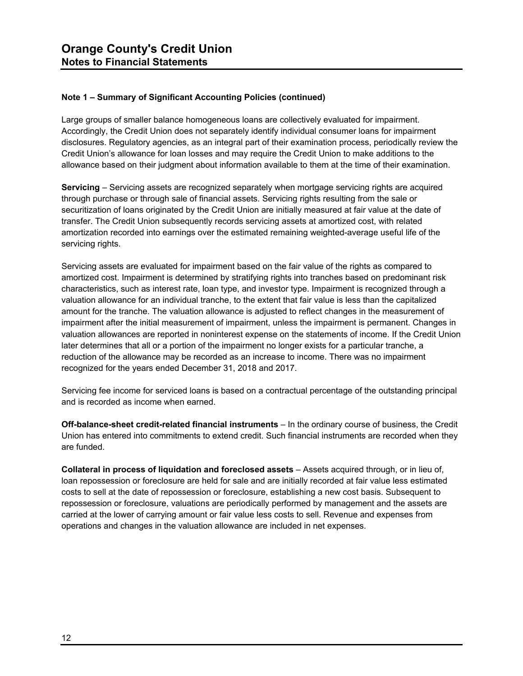Large groups of smaller balance homogeneous loans are collectively evaluated for impairment. Accordingly, the Credit Union does not separately identify individual consumer loans for impairment disclosures. Regulatory agencies, as an integral part of their examination process, periodically review the Credit Union's allowance for loan losses and may require the Credit Union to make additions to the allowance based on their judgment about information available to them at the time of their examination.

**Servicing** – Servicing assets are recognized separately when mortgage servicing rights are acquired through purchase or through sale of financial assets. Servicing rights resulting from the sale or securitization of loans originated by the Credit Union are initially measured at fair value at the date of transfer. The Credit Union subsequently records servicing assets at amortized cost, with related amortization recorded into earnings over the estimated remaining weighted-average useful life of the servicing rights.

Servicing assets are evaluated for impairment based on the fair value of the rights as compared to amortized cost. Impairment is determined by stratifying rights into tranches based on predominant risk characteristics, such as interest rate, loan type, and investor type. Impairment is recognized through a valuation allowance for an individual tranche, to the extent that fair value is less than the capitalized amount for the tranche. The valuation allowance is adjusted to reflect changes in the measurement of impairment after the initial measurement of impairment, unless the impairment is permanent. Changes in valuation allowances are reported in noninterest expense on the statements of income. If the Credit Union later determines that all or a portion of the impairment no longer exists for a particular tranche, a reduction of the allowance may be recorded as an increase to income. There was no impairment recognized for the years ended December 31, 2018 and 2017.

Servicing fee income for serviced loans is based on a contractual percentage of the outstanding principal and is recorded as income when earned.

**Off-balance-sheet credit-related financial instruments** – In the ordinary course of business, the Credit Union has entered into commitments to extend credit. Such financial instruments are recorded when they are funded.

**Collateral in process of liquidation and foreclosed assets** – Assets acquired through, or in lieu of, loan repossession or foreclosure are held for sale and are initially recorded at fair value less estimated costs to sell at the date of repossession or foreclosure, establishing a new cost basis. Subsequent to repossession or foreclosure, valuations are periodically performed by management and the assets are carried at the lower of carrying amount or fair value less costs to sell. Revenue and expenses from operations and changes in the valuation allowance are included in net expenses.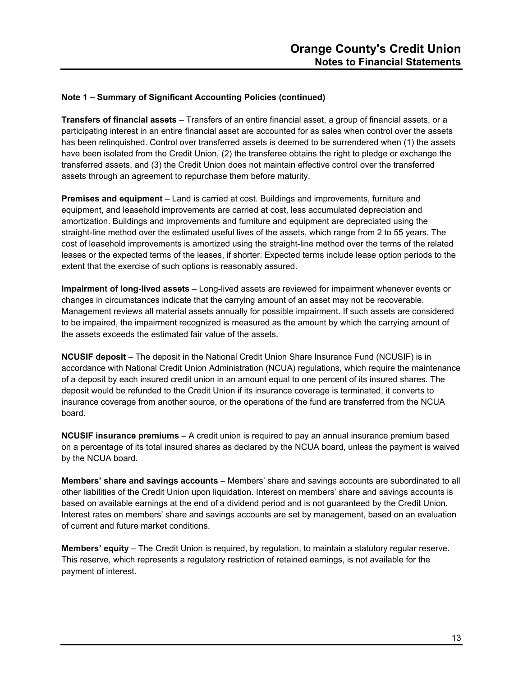**Transfers of financial assets** – Transfers of an entire financial asset, a group of financial assets, or a participating interest in an entire financial asset are accounted for as sales when control over the assets has been relinquished. Control over transferred assets is deemed to be surrendered when (1) the assets have been isolated from the Credit Union, (2) the transferee obtains the right to pledge or exchange the transferred assets, and (3) the Credit Union does not maintain effective control over the transferred assets through an agreement to repurchase them before maturity.

**Premises and equipment** – Land is carried at cost. Buildings and improvements, furniture and equipment, and leasehold improvements are carried at cost, less accumulated depreciation and amortization. Buildings and improvements and furniture and equipment are depreciated using the straight-line method over the estimated useful lives of the assets, which range from 2 to 55 years. The cost of leasehold improvements is amortized using the straight-line method over the terms of the related leases or the expected terms of the leases, if shorter. Expected terms include lease option periods to the extent that the exercise of such options is reasonably assured.

**Impairment of long-lived assets** – Long-lived assets are reviewed for impairment whenever events or changes in circumstances indicate that the carrying amount of an asset may not be recoverable. Management reviews all material assets annually for possible impairment. If such assets are considered to be impaired, the impairment recognized is measured as the amount by which the carrying amount of the assets exceeds the estimated fair value of the assets.

**NCUSIF deposit** – The deposit in the National Credit Union Share Insurance Fund (NCUSIF) is in accordance with National Credit Union Administration (NCUA) regulations, which require the maintenance of a deposit by each insured credit union in an amount equal to one percent of its insured shares. The deposit would be refunded to the Credit Union if its insurance coverage is terminated, it converts to insurance coverage from another source, or the operations of the fund are transferred from the NCUA board.

**NCUSIF insurance premiums** – A credit union is required to pay an annual insurance premium based on a percentage of its total insured shares as declared by the NCUA board, unless the payment is waived by the NCUA board.

**Members' share and savings accounts** – Members' share and savings accounts are subordinated to all other liabilities of the Credit Union upon liquidation. Interest on members' share and savings accounts is based on available earnings at the end of a dividend period and is not guaranteed by the Credit Union. Interest rates on members' share and savings accounts are set by management, based on an evaluation of current and future market conditions.

**Members' equity** – The Credit Union is required, by regulation, to maintain a statutory regular reserve. This reserve, which represents a regulatory restriction of retained earnings, is not available for the payment of interest.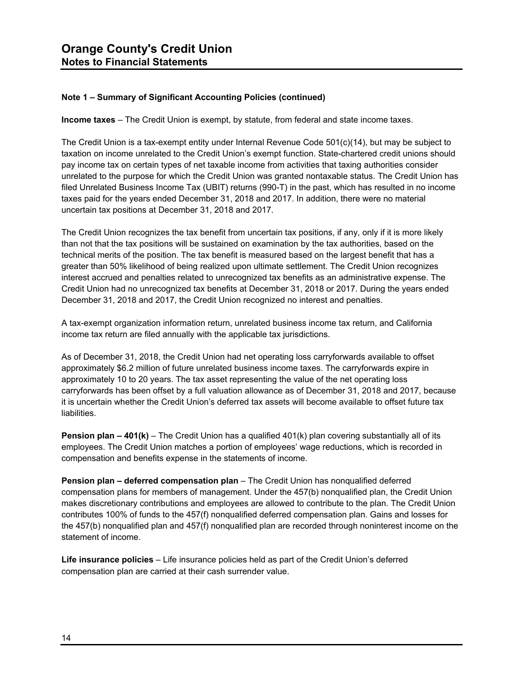**Income taxes** – The Credit Union is exempt, by statute, from federal and state income taxes.

The Credit Union is a tax-exempt entity under Internal Revenue Code 501(c)(14), but may be subject to taxation on income unrelated to the Credit Union's exempt function. State-chartered credit unions should pay income tax on certain types of net taxable income from activities that taxing authorities consider unrelated to the purpose for which the Credit Union was granted nontaxable status. The Credit Union has filed Unrelated Business Income Tax (UBIT) returns (990-T) in the past, which has resulted in no income taxes paid for the years ended December 31, 2018 and 2017. In addition, there were no material uncertain tax positions at December 31, 2018 and 2017.

The Credit Union recognizes the tax benefit from uncertain tax positions, if any, only if it is more likely than not that the tax positions will be sustained on examination by the tax authorities, based on the technical merits of the position. The tax benefit is measured based on the largest benefit that has a greater than 50% likelihood of being realized upon ultimate settlement. The Credit Union recognizes interest accrued and penalties related to unrecognized tax benefits as an administrative expense. The Credit Union had no unrecognized tax benefits at December 31, 2018 or 2017. During the years ended December 31, 2018 and 2017, the Credit Union recognized no interest and penalties.

A tax-exempt organization information return, unrelated business income tax return, and California income tax return are filed annually with the applicable tax jurisdictions.

As of December 31, 2018, the Credit Union had net operating loss carryforwards available to offset approximately \$6.2 million of future unrelated business income taxes. The carryforwards expire in approximately 10 to 20 years. The tax asset representing the value of the net operating loss carryforwards has been offset by a full valuation allowance as of December 31, 2018 and 2017, because it is uncertain whether the Credit Union's deferred tax assets will become available to offset future tax liabilities.

**Pension plan – 401(k)** – The Credit Union has a qualified 401(k) plan covering substantially all of its employees. The Credit Union matches a portion of employees' wage reductions, which is recorded in compensation and benefits expense in the statements of income.

**Pension plan – deferred compensation plan** – The Credit Union has nonqualified deferred compensation plans for members of management. Under the 457(b) nonqualified plan, the Credit Union makes discretionary contributions and employees are allowed to contribute to the plan. The Credit Union contributes 100% of funds to the 457(f) nonqualified deferred compensation plan. Gains and losses for the 457(b) nonqualified plan and 457(f) nonqualified plan are recorded through noninterest income on the statement of income.

**Life insurance policies** – Life insurance policies held as part of the Credit Union's deferred compensation plan are carried at their cash surrender value.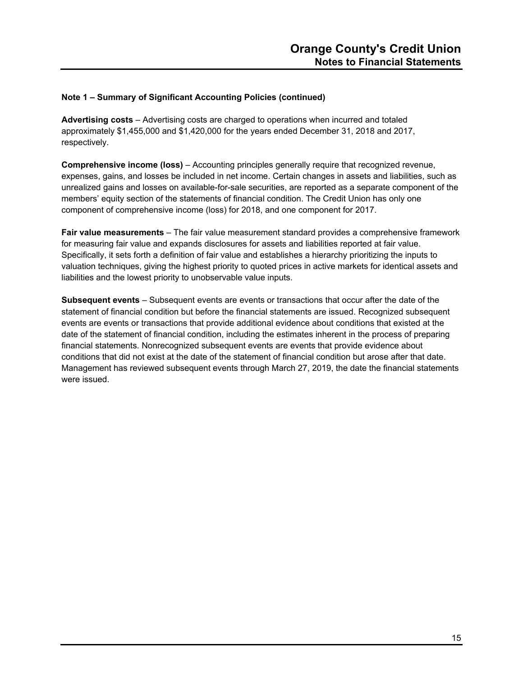**Advertising costs** – Advertising costs are charged to operations when incurred and totaled approximately \$1,455,000 and \$1,420,000 for the years ended December 31, 2018 and 2017, respectively.

**Comprehensive income (loss)** – Accounting principles generally require that recognized revenue, expenses, gains, and losses be included in net income. Certain changes in assets and liabilities, such as unrealized gains and losses on available-for-sale securities, are reported as a separate component of the members' equity section of the statements of financial condition. The Credit Union has only one component of comprehensive income (loss) for 2018, and one component for 2017.

**Fair value measurements** – The fair value measurement standard provides a comprehensive framework for measuring fair value and expands disclosures for assets and liabilities reported at fair value. Specifically, it sets forth a definition of fair value and establishes a hierarchy prioritizing the inputs to valuation techniques, giving the highest priority to quoted prices in active markets for identical assets and liabilities and the lowest priority to unobservable value inputs.

**Subsequent events** – Subsequent events are events or transactions that occur after the date of the statement of financial condition but before the financial statements are issued. Recognized subsequent events are events or transactions that provide additional evidence about conditions that existed at the date of the statement of financial condition, including the estimates inherent in the process of preparing financial statements. Nonrecognized subsequent events are events that provide evidence about conditions that did not exist at the date of the statement of financial condition but arose after that date. Management has reviewed subsequent events through March 27, 2019, the date the financial statements were issued.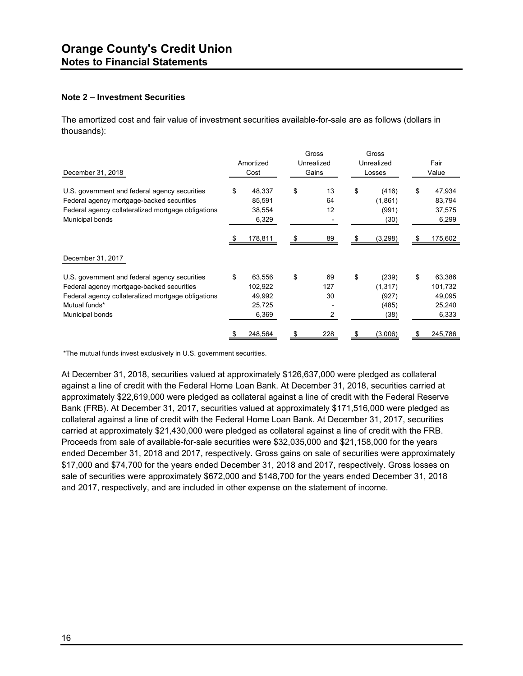#### **Note 2 – Investment Securities**

The amortized cost and fair value of investment securities available-for-sale are as follows (dollars in thousands):

| December 31, 2018                                                                                                                                                                    | Amortized<br>Cost                                    | Gross<br>Unrealized<br>Gains | Gross<br>Unrealized<br>Losses                     |    | Fair<br>Value                                  |
|--------------------------------------------------------------------------------------------------------------------------------------------------------------------------------------|------------------------------------------------------|------------------------------|---------------------------------------------------|----|------------------------------------------------|
| U.S. government and federal agency securities<br>Federal agency mortgage-backed securities<br>Federal agency collateralized mortgage obligations<br>Municipal bonds                  | \$<br>48,337<br>85,591<br>38,554<br>6,329            | \$<br>13<br>64<br>12         | \$<br>(416)<br>(1,861)<br>(991)<br>(30)           | \$ | 47,934<br>83,794<br>37,575<br>6,299            |
|                                                                                                                                                                                      | 178,811                                              | 89                           | (3,298)                                           | S  | 175,602                                        |
| December 31, 2017                                                                                                                                                                    |                                                      |                              |                                                   |    |                                                |
| U.S. government and federal agency securities<br>Federal agency mortgage-backed securities<br>Federal agency collateralized mortgage obligations<br>Mutual funds*<br>Municipal bonds | \$<br>63,556<br>102,922<br>49,992<br>25,725<br>6,369 | \$<br>69<br>127<br>30<br>2   | \$<br>(239)<br>(1, 317)<br>(927)<br>(485)<br>(38) | \$ | 63,386<br>101,732<br>49,095<br>25,240<br>6,333 |
|                                                                                                                                                                                      | 248,564                                              | 228                          | (3,006)                                           | S  | 245,786                                        |

\*The mutual funds invest exclusively in U.S. government securities.

At December 31, 2018, securities valued at approximately \$126,637,000 were pledged as collateral against a line of credit with the Federal Home Loan Bank. At December 31, 2018, securities carried at approximately \$22,619,000 were pledged as collateral against a line of credit with the Federal Reserve Bank (FRB). At December 31, 2017, securities valued at approximately \$171,516,000 were pledged as collateral against a line of credit with the Federal Home Loan Bank. At December 31, 2017, securities carried at approximately \$21,430,000 were pledged as collateral against a line of credit with the FRB. Proceeds from sale of available-for-sale securities were \$32,035,000 and \$21,158,000 for the years ended December 31, 2018 and 2017, respectively. Gross gains on sale of securities were approximately \$17,000 and \$74,700 for the years ended December 31, 2018 and 2017, respectively. Gross losses on sale of securities were approximately \$672,000 and \$148,700 for the years ended December 31, 2018 and 2017, respectively, and are included in other expense on the statement of income.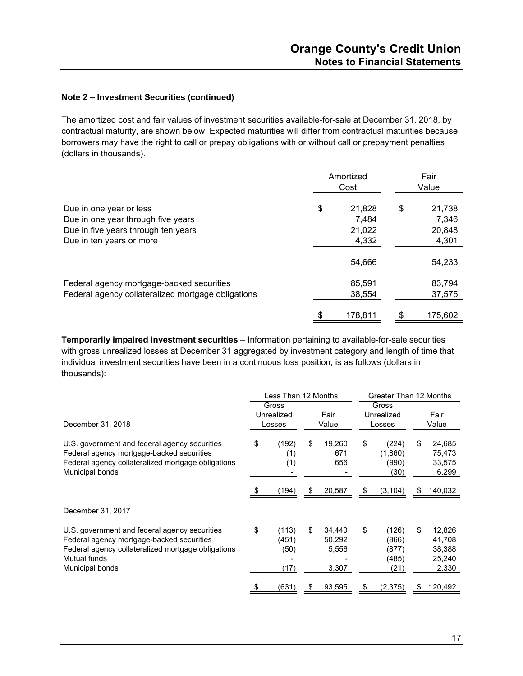#### **Note 2 – Investment Securities (continued)**

The amortized cost and fair values of investment securities available-for-sale at December 31, 2018, by contractual maturity, are shown below. Expected maturities will differ from contractual maturities because borrowers may have the right to call or prepay obligations with or without call or prepayment penalties (dollars in thousands).

|                                                                                                                                  | Amortized<br>Cost |                                    |    | Fair<br>Value                      |
|----------------------------------------------------------------------------------------------------------------------------------|-------------------|------------------------------------|----|------------------------------------|
| Due in one year or less<br>Due in one year through five years<br>Due in five years through ten years<br>Due in ten years or more | \$                | 21,828<br>7,484<br>21,022<br>4,332 | \$ | 21,738<br>7,346<br>20,848<br>4,301 |
|                                                                                                                                  |                   | 54,666                             |    | 54,233                             |
| Federal agency mortgage-backed securities<br>Federal agency collateralized mortgage obligations                                  |                   | 85,591<br>38,554                   |    | 83,794<br>37,575                   |
|                                                                                                                                  |                   | 178.811                            | £. | 175,602                            |

**Temporarily impaired investment securities** – Information pertaining to available-for-sale securities with gross unrealized losses at December 31 aggregated by investment category and length of time that individual investment securities have been in a continuous loss position, is as follows (dollars in thousands):

|                                                                                                                                                                                     | Less Than 12 Months           |                                |    |                                    | Greater Than 12 Months |                                          |    |                                               |  |  |               |  |  |  |                               |  |  |  |               |  |
|-------------------------------------------------------------------------------------------------------------------------------------------------------------------------------------|-------------------------------|--------------------------------|----|------------------------------------|------------------------|------------------------------------------|----|-----------------------------------------------|--|--|---------------|--|--|--|-------------------------------|--|--|--|---------------|--|
| December 31, 2018                                                                                                                                                                   | Gross<br>Unrealized<br>Losses |                                |    |                                    |                        |                                          |    |                                               |  |  | Fair<br>Value |  |  |  | Gross<br>Unrealized<br>Losses |  |  |  | Fair<br>Value |  |
| U.S. government and federal agency securities<br>Federal agency mortgage-backed securities<br>Federal agency collateralized mortgage obligations<br>Municipal bonds                 | \$                            | (192)<br>(1)<br>(1)            | \$ | 19,260<br>671<br>656               | \$                     | (224)<br>(1,860)<br>(990)<br>(30)        | \$ | 24,685<br>75,473<br>33,575<br>6,299           |  |  |               |  |  |  |                               |  |  |  |               |  |
|                                                                                                                                                                                     |                               | (194)                          | \$ | 20,587                             | \$                     | (3,104)                                  | \$ | 140,032                                       |  |  |               |  |  |  |                               |  |  |  |               |  |
| December 31, 2017                                                                                                                                                                   |                               |                                |    |                                    |                        |                                          |    |                                               |  |  |               |  |  |  |                               |  |  |  |               |  |
| U.S. government and federal agency securities<br>Federal agency mortgage-backed securities<br>Federal agency collateralized mortgage obligations<br>Mutual funds<br>Municipal bonds | \$                            | (113)<br>(451)<br>(50)<br>(17) | \$ | 34,440<br>50,292<br>5,556<br>3,307 | \$                     | (126)<br>(866)<br>(877)<br>(485)<br>(21) | \$ | 12,826<br>41,708<br>38,388<br>25,240<br>2,330 |  |  |               |  |  |  |                               |  |  |  |               |  |
|                                                                                                                                                                                     |                               | (631)                          | S  | 93,595                             | \$                     | (2,375)                                  | S  | 120,492                                       |  |  |               |  |  |  |                               |  |  |  |               |  |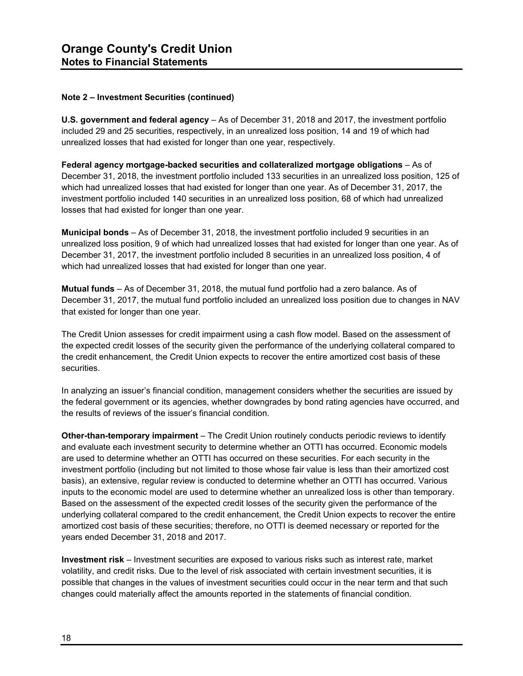#### **Note 2 – Investment Securities (continued)**

**U.S. government and federal agency** – As of December 31, 2018 and 2017, the investment portfolio included 29 and 25 securities, respectively, in an unrealized loss position, 14 and 19 of which had unrealized losses that had existed for longer than one year, respectively.

**Federal agency mortgage-backed securities and collateralized mortgage obligations** – As of December 31, 2018, the investment portfolio included 133 securities in an unrealized loss position, 125 of which had unrealized losses that had existed for longer than one year. As of December 31, 2017, the investment portfolio included 140 securities in an unrealized loss position, 68 of which had unrealized losses that had existed for longer than one year.

**Municipal bonds** – As of December 31, 2018, the investment portfolio included 9 securities in an unrealized loss position, 9 of which had unrealized losses that had existed for longer than one year. As of December 31, 2017, the investment portfolio included 8 securities in an unrealized loss position, 4 of which had unrealized losses that had existed for longer than one year.

**Mutual funds** – As of December 31, 2018, the mutual fund portfolio had a zero balance. As of December 31, 2017, the mutual fund portfolio included an unrealized loss position due to changes in NAV that existed for longer than one year.

The Credit Union assesses for credit impairment using a cash flow model. Based on the assessment of the expected credit losses of the security given the performance of the underlying collateral compared to the credit enhancement, the Credit Union expects to recover the entire amortized cost basis of these securities.

In analyzing an issuer's financial condition, management considers whether the securities are issued by the federal government or its agencies, whether downgrades by bond rating agencies have occurred, and the results of reviews of the issuer's financial condition.

**Other-than-temporary impairment** – The Credit Union routinely conducts periodic reviews to identify and evaluate each investment security to determine whether an OTTI has occurred. Economic models are used to determine whether an OTTI has occurred on these securities. For each security in the investment portfolio (including but not limited to those whose fair value is less than their amortized cost basis), an extensive, regular review is conducted to determine whether an OTTI has occurred. Various inputs to the economic model are used to determine whether an unrealized loss is other than temporary. Based on the assessment of the expected credit losses of the security given the performance of the underlying collateral compared to the credit enhancement, the Credit Union expects to recover the entire amortized cost basis of these securities; therefore, no OTTI is deemed necessary or reported for the years ended December 31, 2018 and 2017.

**Investment risk** – Investment securities are exposed to various risks such as interest rate, market volatility, and credit risks. Due to the level of risk associated with certain investment securities, it is possible that changes in the values of investment securities could occur in the near term and that such changes could materially affect the amounts reported in the statements of financial condition.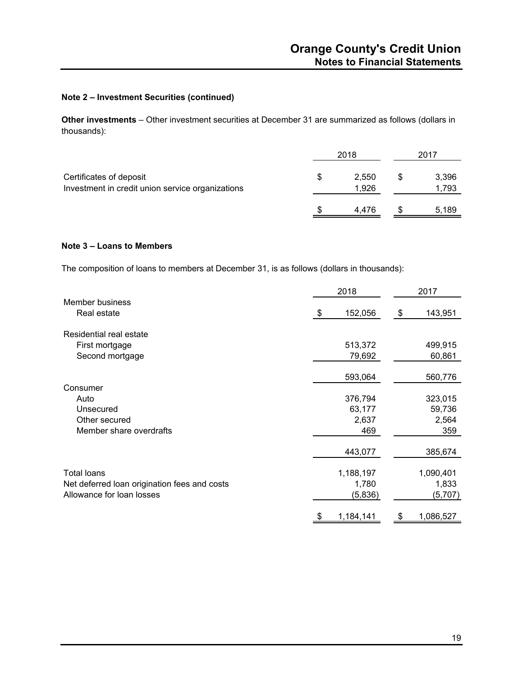#### **Note 2 – Investment Securities (continued)**

**Other investments** – Other investment securities at December 31 are summarized as follows (dollars in thousands):

|                                                                             | 2018 | 2017           |                |  |
|-----------------------------------------------------------------------------|------|----------------|----------------|--|
| Certificates of deposit<br>Investment in credit union service organizations | S    | 2,550<br>1,926 | 3,396<br>1,793 |  |
|                                                                             |      | 4.476          | 5,189          |  |

#### **Note 3 – Loans to Members**

The composition of loans to members at December 31, is as follows (dollars in thousands):

|                                              | 2018              | 2017              |  |  |
|----------------------------------------------|-------------------|-------------------|--|--|
| Member business<br>Real estate               | 152,056<br>-\$    | 143,951<br>\$     |  |  |
| Residential real estate                      |                   |                   |  |  |
| First mortgage<br>Second mortgage            | 513,372<br>79,692 | 499,915<br>60,861 |  |  |
|                                              | 593,064           | 560,776           |  |  |
| Consumer                                     |                   |                   |  |  |
| Auto                                         | 376,794           | 323,015           |  |  |
| Unsecured                                    | 63,177            | 59,736            |  |  |
| Other secured                                | 2,637             | 2,564             |  |  |
| Member share overdrafts                      | 469               | 359               |  |  |
|                                              | 443,077           | 385,674           |  |  |
| <b>Total loans</b>                           | 1,188,197         | 1,090,401         |  |  |
| Net deferred loan origination fees and costs | 1,780             | 1,833             |  |  |
| Allowance for loan losses                    | (5,836)           | (5,707)           |  |  |
|                                              | 1,184,141<br>\$   | 1,086,527<br>\$   |  |  |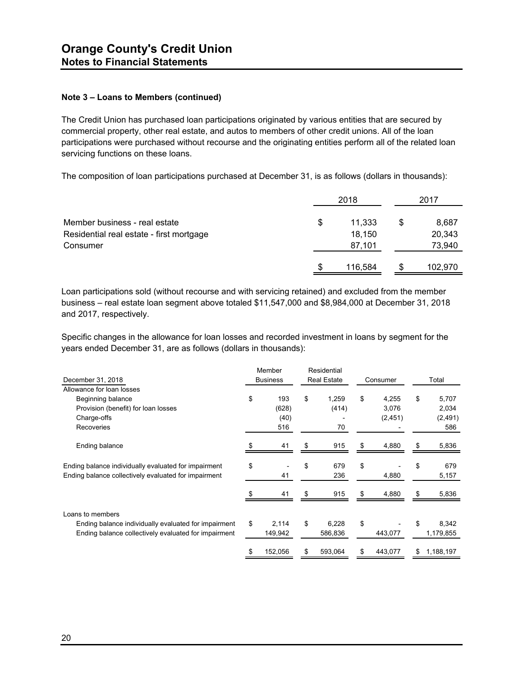The Credit Union has purchased loan participations originated by various entities that are secured by commercial property, other real estate, and autos to members of other credit unions. All of the loan participations were purchased without recourse and the originating entities perform all of the related loan servicing functions on these loans.

The composition of loan participations purchased at December 31, is as follows (dollars in thousands):

|                                                                                       | 2018                             |   |                           |
|---------------------------------------------------------------------------------------|----------------------------------|---|---------------------------|
| Member business - real estate<br>Residential real estate - first mortgage<br>Consumer | \$<br>11,333<br>18,150<br>87,101 | S | 8,687<br>20,343<br>73,940 |
|                                                                                       | \$<br>116,584                    |   | 102,970                   |

Loan participations sold (without recourse and with servicing retained) and excluded from the member business – real estate loan segment above totaled \$11,547,000 and \$8,984,000 at December 31, 2018 and 2017, respectively.

Specific changes in the allowance for loan losses and recorded investment in loans by segment for the years ended December 31, are as follows (dollars in thousands):

|                                                      | Member          |     | Residential        |    |          |    |           |  |
|------------------------------------------------------|-----------------|-----|--------------------|----|----------|----|-----------|--|
| December 31, 2018                                    | <b>Business</b> |     | <b>Real Estate</b> |    | Consumer |    | Total     |  |
| Allowance for loan losses                            |                 |     |                    |    |          |    |           |  |
| Beginning balance                                    | \$<br>193       | \$  | 1,259              | \$ | 4,255    | \$ | 5,707     |  |
| Provision (benefit) for loan losses                  | (628)           |     | (414)              |    | 3,076    |    | 2,034     |  |
| Charge-offs                                          | (40)            |     |                    |    | (2, 451) |    | (2, 491)  |  |
| Recoveries                                           | 516             |     | 70                 |    |          |    | 586       |  |
| Ending balance                                       | 41              |     | 915                | \$ | 4,880    | \$ | 5,836     |  |
| Ending balance individually evaluated for impairment | \$              | \$  | 679                | \$ |          | \$ | 679       |  |
| Ending balance collectively evaluated for impairment | 41              |     | 236                |    | 4,880    |    | 5,157     |  |
|                                                      | 41              | \$. | 915                | \$ | 4,880    | \$ | 5,836     |  |
| Loans to members                                     |                 |     |                    |    |          |    |           |  |
| Ending balance individually evaluated for impairment | \$<br>2,114     | \$  | 6,228              | \$ |          | \$ | 8,342     |  |
| Ending balance collectively evaluated for impairment | 149,942         |     | 586,836            |    | 443,077  |    | 1,179,855 |  |
|                                                      | 152,056         |     | 593,064            | \$ | 443,077  | \$ | 1,188,197 |  |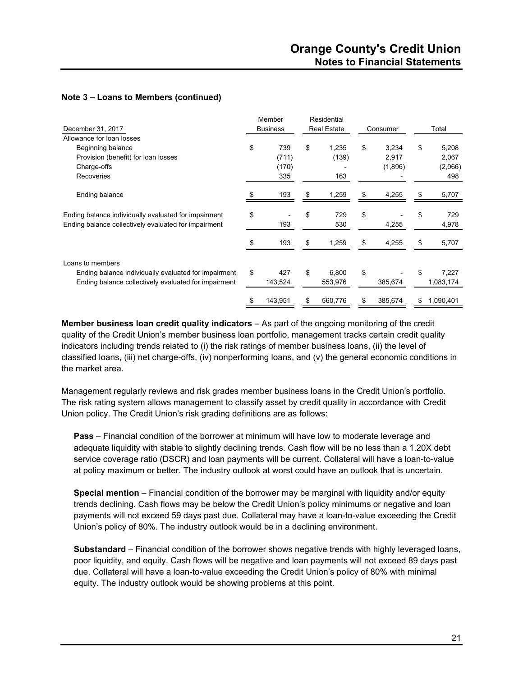|                                                                                                                                  | Member               |    | Residential        |          |         |       |                    |
|----------------------------------------------------------------------------------------------------------------------------------|----------------------|----|--------------------|----------|---------|-------|--------------------|
| December 31, 2017                                                                                                                | <b>Business</b>      |    | <b>Real Estate</b> | Consumer |         | Total |                    |
| Allowance for loan losses                                                                                                        |                      |    |                    |          |         |       |                    |
| Beginning balance                                                                                                                | \$<br>739            | \$ | 1,235              | \$       | 3,234   | \$    | 5,208              |
| Provision (benefit) for loan losses                                                                                              | (711)                |    | (139)              |          | 2,917   |       | 2,067              |
| Charge-offs                                                                                                                      | (170)                |    |                    |          | (1,896) |       | (2,066)            |
| Recoveries                                                                                                                       | 335                  |    | 163                |          |         |       | 498                |
| Ending balance                                                                                                                   | 193                  | \$ | 1,259              | \$       | 4,255   | S     | 5,707              |
| Ending balance individually evaluated for impairment<br>Ending balance collectively evaluated for impairment                     | \$<br>193            | \$ | 729<br>530         | \$       | 4,255   | \$    | 729<br>4,978       |
|                                                                                                                                  | 193                  | \$ | 1,259              | \$       | 4,255   | S     | 5,707              |
| Loans to members<br>Ending balance individually evaluated for impairment<br>Ending balance collectively evaluated for impairment | \$<br>427<br>143,524 | \$ | 6,800<br>553,976   | \$       | 385,674 | \$    | 7,227<br>1,083,174 |
|                                                                                                                                  | \$<br>143,951        | \$ | 560,776            | \$       | 385,674 | \$    | 1,090,401          |

**Member business loan credit quality indicators** – As part of the ongoing monitoring of the credit quality of the Credit Union's member business loan portfolio, management tracks certain credit quality indicators including trends related to (i) the risk ratings of member business loans, (ii) the level of classified loans, (iii) net charge-offs, (iv) nonperforming loans, and (v) the general economic conditions in the market area.

Management regularly reviews and risk grades member business loans in the Credit Union's portfolio. The risk rating system allows management to classify asset by credit quality in accordance with Credit Union policy. The Credit Union's risk grading definitions are as follows:

**Pass** – Financial condition of the borrower at minimum will have low to moderate leverage and adequate liquidity with stable to slightly declining trends. Cash flow will be no less than a 1.20X debt service coverage ratio (DSCR) and loan payments will be current. Collateral will have a loan-to-value at policy maximum or better. The industry outlook at worst could have an outlook that is uncertain.

**Special mention** – Financial condition of the borrower may be marginal with liquidity and/or equity trends declining. Cash flows may be below the Credit Union's policy minimums or negative and loan payments will not exceed 59 days past due. Collateral may have a loan-to-value exceeding the Credit Union's policy of 80%. The industry outlook would be in a declining environment.

**Substandard** – Financial condition of the borrower shows negative trends with highly leveraged loans, poor liquidity, and equity. Cash flows will be negative and loan payments will not exceed 89 days past due. Collateral will have a loan-to-value exceeding the Credit Union's policy of 80% with minimal equity. The industry outlook would be showing problems at this point.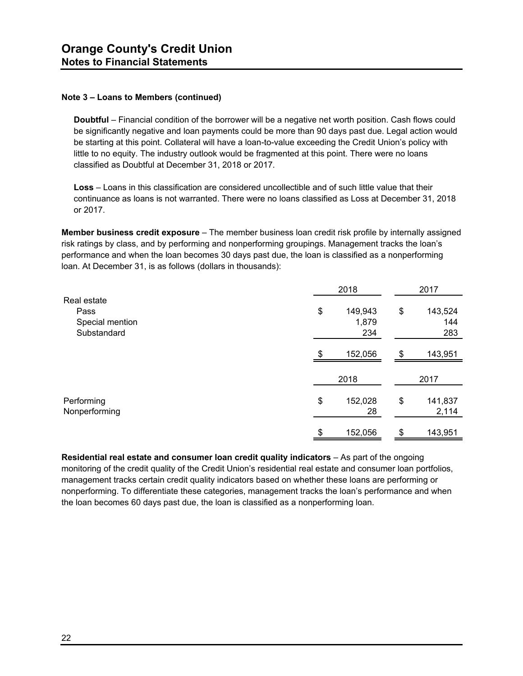**Doubtful** – Financial condition of the borrower will be a negative net worth position. Cash flows could be significantly negative and loan payments could be more than 90 days past due. Legal action would be starting at this point. Collateral will have a loan-to-value exceeding the Credit Union's policy with little to no equity. The industry outlook would be fragmented at this point. There were no loans classified as Doubtful at December 31, 2018 or 2017.

**Loss** – Loans in this classification are considered uncollectible and of such little value that their continuance as loans is not warranted. There were no loans classified as Loss at December 31, 2018 or 2017.

**Member business credit exposure** – The member business loan credit risk profile by internally assigned risk ratings by class, and by performing and nonperforming groupings. Management tracks the loan's performance and when the loan becomes 30 days past due, the loan is classified as a nonperforming loan. At December 31, is as follows (dollars in thousands):

|                             | 2018                | 2017 |                  |  |
|-----------------------------|---------------------|------|------------------|--|
| Real estate                 |                     |      |                  |  |
| Pass                        | \$<br>149,943       | \$   | 143,524          |  |
| Special mention             | 1,879               |      | 144              |  |
| Substandard                 | 234                 |      | 283              |  |
|                             | \$<br>152,056       | \$   | 143,951          |  |
|                             | 2018                |      | 2017             |  |
|                             |                     |      |                  |  |
| Performing<br>Nonperforming | \$<br>152,028<br>28 | \$   | 141,837<br>2,114 |  |
|                             | \$<br>152,056       | \$   | 143,951          |  |

**Residential real estate and consumer loan credit quality indicators** – As part of the ongoing monitoring of the credit quality of the Credit Union's residential real estate and consumer loan portfolios, management tracks certain credit quality indicators based on whether these loans are performing or nonperforming. To differentiate these categories, management tracks the loan's performance and when the loan becomes 60 days past due, the loan is classified as a nonperforming loan.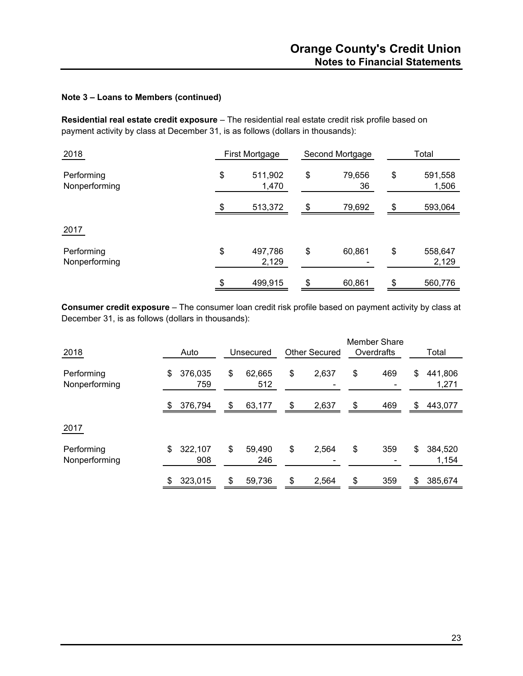**Residential real estate credit exposure** – The residential real estate credit risk profile based on payment activity by class at December 31, is as follows (dollars in thousands):

| 2018                        | First Mortgage         | Second Mortgage |              | Total                  |
|-----------------------------|------------------------|-----------------|--------------|------------------------|
| Performing<br>Nonperforming | \$<br>511,902<br>1,470 | \$              | 79,656<br>36 | \$<br>591,558<br>1,506 |
|                             | \$<br>513,372          | \$              | 79,692       | \$<br>593,064          |
| 2017                        |                        |                 |              |                        |
| Performing<br>Nonperforming | \$<br>497,786<br>2,129 | \$              | 60,861       | \$<br>558,647<br>2,129 |
|                             | \$<br>499,915          | \$              | 60,861       | \$<br>560,776          |

**Consumer credit exposure** – The consumer loan credit risk profile based on payment activity by class at December 31, is as follows (dollars in thousands):

| 2018                        | Auto |                | Unsecured           |    | <b>Other Secured</b> |    | <b>Member Share</b><br>Overdrafts |    | Total            |  |
|-----------------------------|------|----------------|---------------------|----|----------------------|----|-----------------------------------|----|------------------|--|
| Performing<br>Nonperforming | \$   | 376,035<br>759 | \$<br>62,665<br>512 | \$ | 2,637                | \$ | 469                               | \$ | 441,806<br>1,271 |  |
|                             | \$   | 376,794        | \$<br>63,177        | \$ | 2,637                | \$ | 469                               | \$ | 443,077          |  |
| 2017                        |      |                |                     |    |                      |    |                                   |    |                  |  |
| Performing<br>Nonperforming | \$   | 322,107<br>908 | \$<br>59,490<br>246 | \$ | 2,564                | \$ | 359                               | \$ | 384,520<br>1,154 |  |
|                             | \$   | 323,015        | \$<br>59,736        | \$ | 2,564                | \$ | 359                               | \$ | 385,674          |  |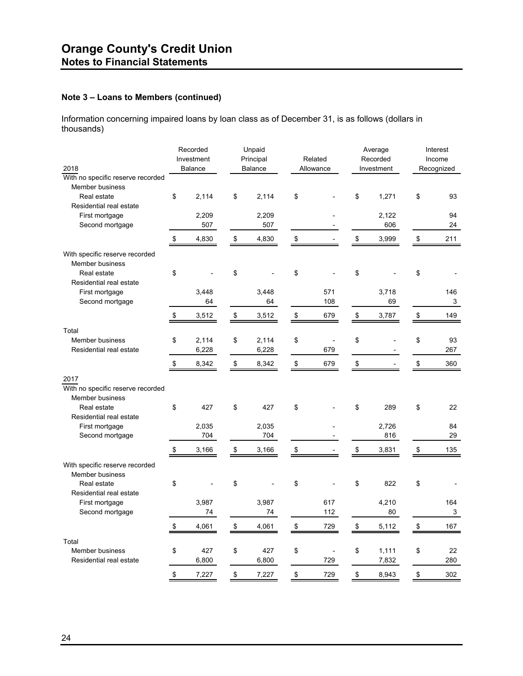Information concerning impaired loans by loan class as of December 31, is as follows (dollars in thousands)

| 2018<br>With no specific reserve recorded                        |    | Recorded<br>Investment<br><b>Balance</b> |    | Unpaid<br>Principal<br>Balance |    | Related<br>Allowance |    | Average<br>Recorded<br>Investment |    | Interest<br>Income<br>Recognized |  |
|------------------------------------------------------------------|----|------------------------------------------|----|--------------------------------|----|----------------------|----|-----------------------------------|----|----------------------------------|--|
| <b>Member business</b><br>Real estate<br>Residential real estate | \$ | 2,114                                    | \$ | 2,114                          | \$ |                      | \$ | 1,271                             | \$ | 93                               |  |
| First mortgage<br>Second mortgage                                |    | 2,209<br>507                             |    | 2,209<br>507                   |    |                      |    | 2,122<br>606                      |    | 94<br>24                         |  |
|                                                                  | \$ | 4,830                                    | \$ | 4,830                          | \$ |                      | \$ | 3,999                             | \$ | 211                              |  |
| With specific reserve recorded<br>Member business<br>Real estate | \$ |                                          | \$ |                                | \$ |                      | \$ |                                   | \$ |                                  |  |
| Residential real estate<br>First mortgage<br>Second mortgage     |    | 3,448<br>64                              |    | 3,448<br>64                    |    | 571<br>108           |    | 3,718<br>69                       |    | 146<br>3                         |  |
|                                                                  | \$ | 3,512                                    | \$ | 3,512                          | \$ | 679                  | \$ | 3,787                             | \$ | 149                              |  |
| Total<br>Member business<br>Residential real estate              | \$ | 2,114<br>6,228                           | \$ | 2,114<br>6,228                 | \$ | ÷,<br>679            | \$ |                                   | \$ | 93<br>267                        |  |
|                                                                  | \$ | 8,342                                    | \$ | 8,342                          | \$ | 679                  | \$ |                                   | \$ | 360                              |  |
| 2017<br>With no specific reserve recorded<br>Member business     |    |                                          |    |                                |    |                      |    |                                   |    |                                  |  |
| Real estate<br>Residential real estate                           | \$ | 427                                      | \$ | 427                            | \$ |                      | \$ | 289                               | \$ | 22                               |  |
| First mortgage<br>Second mortgage                                |    | 2,035<br>704                             |    | 2,035<br>704                   |    |                      |    | 2,726<br>816                      |    | 84<br>29                         |  |
|                                                                  | \$ | 3,166                                    | \$ | 3,166                          | \$ |                      | \$ | 3,831                             | \$ | 135                              |  |
| With specific reserve recorded<br><b>Member business</b>         |    |                                          |    |                                |    |                      |    |                                   |    |                                  |  |
| Real estate<br>Residential real estate                           | \$ |                                          | \$ |                                | \$ |                      | \$ | 822                               | \$ |                                  |  |
| First mortgage<br>Second mortgage                                |    | 3,987<br>74                              |    | 3,987<br>74                    |    | 617<br>112           |    | 4,210<br>80                       |    | 164<br>3                         |  |
|                                                                  | \$ | 4,061                                    | \$ | 4,061                          | \$ | 729                  | \$ | 5,112                             | \$ | 167                              |  |
| Total<br>Member business                                         | \$ | 427                                      | \$ | 427                            | \$ |                      | \$ | 1,111                             | \$ | 22                               |  |
| Residential real estate                                          |    | 6,800                                    |    | 6,800                          |    | 729                  |    | 7,832                             |    | 280                              |  |
|                                                                  | \$ | 7,227                                    | \$ | 7,227                          | \$ | 729                  | \$ | 8,943                             | \$ | 302                              |  |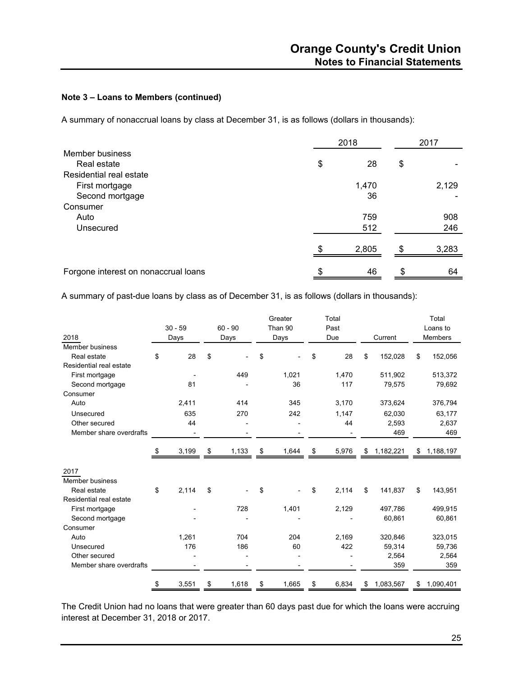A summary of nonaccrual loans by class at December 31, is as follows (dollars in thousands):

|                                      | 2018 |       | 2017 |       |
|--------------------------------------|------|-------|------|-------|
| Member business                      |      |       |      |       |
| Real estate                          | \$   | 28    | \$   |       |
| Residential real estate              |      |       |      |       |
| First mortgage                       |      | 1,470 |      | 2,129 |
| Second mortgage                      |      | 36    |      |       |
| Consumer                             |      |       |      |       |
| Auto                                 |      | 759   |      | 908   |
| Unsecured                            |      | 512   |      | 246   |
|                                      | \$   | 2,805 | \$.  | 3,283 |
| Forgone interest on nonaccrual loans | \$   | 46    | S    | 64    |

A summary of past-due loans by class as of December 31, is as follows (dollars in thousands):

|                         |             |             | Greater     | Total       |    |           | Total           |
|-------------------------|-------------|-------------|-------------|-------------|----|-----------|-----------------|
|                         | $30 - 59$   | $60 - 90$   | Than 90     | Past        |    |           | Loans to        |
| 2018                    | Days        | Days        | Days        | Due         |    | Current   | Members         |
| Member business         |             |             |             |             |    |           |                 |
| Real estate             | \$<br>28    | \$          | \$          | \$<br>28    | \$ | 152,028   | \$<br>152,056   |
| Residential real estate |             |             |             |             |    |           |                 |
| First mortgage          |             | 449         | 1,021       | 1,470       |    | 511,902   | 513,372         |
| Second mortgage         | 81          |             | 36          | 117         |    | 79,575    | 79,692          |
| Consumer                |             |             |             |             |    |           |                 |
| Auto                    | 2,411       | 414         | 345         | 3,170       |    | 373,624   | 376,794         |
| Unsecured               | 635         | 270         | 242         | 1,147       |    | 62,030    | 63,177          |
| Other secured           | 44          |             |             | 44          |    | 2,593     | 2,637           |
| Member share overdrafts |             |             |             |             |    | 469       | 469             |
|                         |             |             |             |             |    |           |                 |
|                         | \$<br>3,199 | \$<br>1,133 | \$<br>1,644 | \$<br>5,976 | S  | 1,182,221 | \$<br>1,188,197 |
|                         |             |             |             |             |    |           |                 |
| 2017                    |             |             |             |             |    |           |                 |
| Member business         |             |             |             |             |    |           |                 |
| Real estate             | \$<br>2,114 | \$          | \$          | \$<br>2,114 | \$ | 141,837   | \$<br>143,951   |
| Residential real estate |             |             |             |             |    |           |                 |
| First mortgage          |             | 728         | 1,401       | 2,129       |    | 497,786   | 499,915         |
| Second mortgage         |             |             |             |             |    | 60,861    | 60,861          |
| Consumer                |             |             |             |             |    |           |                 |
| Auto                    | 1,261       | 704         | 204         | 2,169       |    | 320,846   | 323,015         |
| Unsecured               | 176         | 186         | 60          | 422         |    | 59,314    | 59,736          |
| Other secured           |             |             |             |             |    | 2,564     | 2,564           |
| Member share overdrafts |             |             |             |             |    | 359       | 359             |
|                         | \$<br>3,551 | \$<br>1,618 | \$<br>1,665 | \$<br>6,834 | \$ | 1,083,567 | \$<br>1,090,401 |
|                         |             |             |             |             |    |           |                 |

The Credit Union had no loans that were greater than 60 days past due for which the loans were accruing interest at December 31, 2018 or 2017.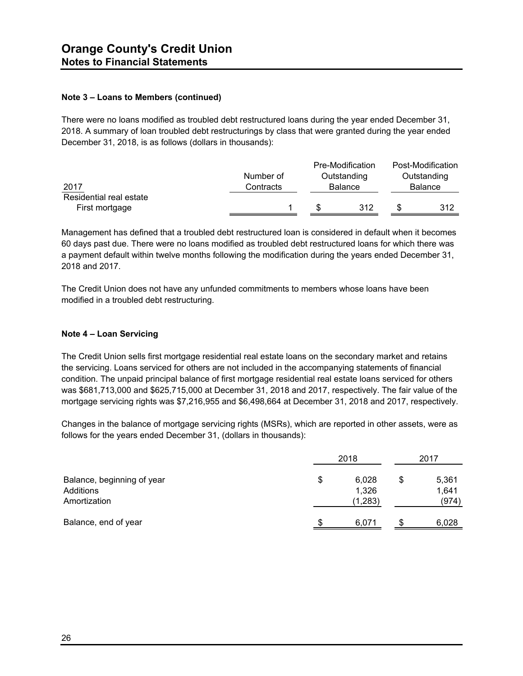There were no loans modified as troubled debt restructured loans during the year ended December 31, 2018. A summary of loan troubled debt restructurings by class that were granted during the year ended December 31, 2018, is as follows (dollars in thousands):

|                         |           | Pre-Modification | Post-Modification |
|-------------------------|-----------|------------------|-------------------|
|                         | Number of | Outstanding      | Outstanding       |
| 2017                    | Contracts | <b>Balance</b>   | Balance           |
| Residential real estate |           |                  |                   |
| First mortgage          |           | 312              | 312               |

Management has defined that a troubled debt restructured loan is considered in default when it becomes 60 days past due. There were no loans modified as troubled debt restructured loans for which there was a payment default within twelve months following the modification during the years ended December 31, 2018 and 2017.

The Credit Union does not have any unfunded commitments to members whose loans have been modified in a troubled debt restructuring.

#### **Note 4 – Loan Servicing**

The Credit Union sells first mortgage residential real estate loans on the secondary market and retains the servicing. Loans serviced for others are not included in the accompanying statements of financial condition. The unpaid principal balance of first mortgage residential real estate loans serviced for others was \$681,713,000 and \$625,715,000 at December 31, 2018 and 2017, respectively. The fair value of the mortgage servicing rights was \$7,216,955 and \$6,498,664 at December 31, 2018 and 2017, respectively.

Changes in the balance of mortgage servicing rights (MSRs), which are reported in other assets, were as follows for the years ended December 31, (dollars in thousands):

|                                                         | 2018 | 2017                      |                               |  |
|---------------------------------------------------------|------|---------------------------|-------------------------------|--|
| Balance, beginning of year<br>Additions<br>Amortization | \$   | 6,028<br>1,326<br>(1,283) | \$<br>5,361<br>1,641<br>(974) |  |
| Balance, end of year                                    |      | 6,071                     | 6,028                         |  |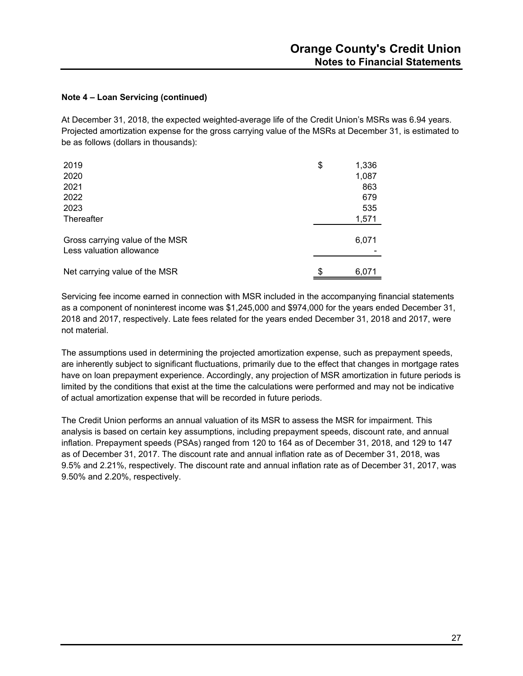#### **Note 4 – Loan Servicing (continued)**

At December 31, 2018, the expected weighted-average life of the Credit Union's MSRs was 6.94 years. Projected amortization expense for the gross carrying value of the MSRs at December 31, is estimated to be as follows (dollars in thousands):

| 2019                                                        | \$<br>1,336 |
|-------------------------------------------------------------|-------------|
| 2020                                                        | 1,087       |
| 2021                                                        | 863         |
| 2022                                                        | 679         |
| 2023                                                        | 535         |
| Thereafter                                                  | 1,571       |
| Gross carrying value of the MSR<br>Less valuation allowance | 6,071       |
| Net carrying value of the MSR                               | \$<br>6,071 |

Servicing fee income earned in connection with MSR included in the accompanying financial statements as a component of noninterest income was \$1,245,000 and \$974,000 for the years ended December 31, 2018 and 2017, respectively. Late fees related for the years ended December 31, 2018 and 2017, were not material.

The assumptions used in determining the projected amortization expense, such as prepayment speeds, are inherently subject to significant fluctuations, primarily due to the effect that changes in mortgage rates have on loan prepayment experience. Accordingly, any projection of MSR amortization in future periods is limited by the conditions that exist at the time the calculations were performed and may not be indicative of actual amortization expense that will be recorded in future periods.

The Credit Union performs an annual valuation of its MSR to assess the MSR for impairment. This analysis is based on certain key assumptions, including prepayment speeds, discount rate, and annual inflation. Prepayment speeds (PSAs) ranged from 120 to 164 as of December 31, 2018, and 129 to 147 as of December 31, 2017. The discount rate and annual inflation rate as of December 31, 2018, was 9.5% and 2.21%, respectively. The discount rate and annual inflation rate as of December 31, 2017, was 9.50% and 2.20%, respectively.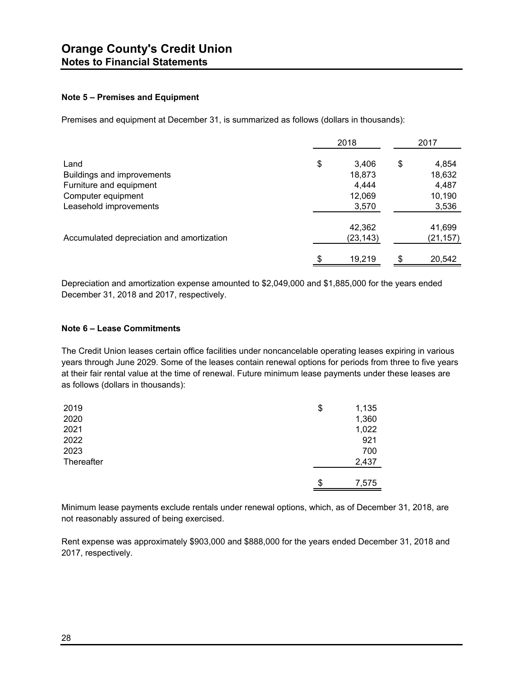#### **Note 5 – Premises and Equipment**

Premises and equipment at December 31, is summarized as follows (dollars in thousands):

|                                           |    | 2017      |    |          |
|-------------------------------------------|----|-----------|----|----------|
| Land                                      | \$ | 3,406     | \$ | 4,854    |
| Buildings and improvements                |    | 18,873    |    | 18,632   |
| Furniture and equipment                   |    | 4,444     |    | 4,487    |
| Computer equipment                        |    | 12,069    |    | 10,190   |
| Leasehold improvements                    |    | 3,570     |    | 3,536    |
|                                           |    | 42,362    |    | 41,699   |
| Accumulated depreciation and amortization |    | (23, 143) |    | (21,157) |
|                                           | \$ | 19,219    |    | 20,542   |

Depreciation and amortization expense amounted to \$2,049,000 and \$1,885,000 for the years ended December 31, 2018 and 2017, respectively.

#### **Note 6 – Lease Commitments**

The Credit Union leases certain office facilities under noncancelable operating leases expiring in various years through June 2029. Some of the leases contain renewal options for periods from three to five years at their fair rental value at the time of renewal. Future minimum lease payments under these leases are as follows (dollars in thousands):

| 2019       | \$<br>1,135 |
|------------|-------------|
| 2020       | 1,360       |
| 2021       | 1,022       |
| 2022       | 921         |
| 2023       | 700         |
| Thereafter | 2,437       |
|            |             |
|            | \$<br>7,575 |

Minimum lease payments exclude rentals under renewal options, which, as of December 31, 2018, are not reasonably assured of being exercised.

Rent expense was approximately \$903,000 and \$888,000 for the years ended December 31, 2018 and 2017, respectively.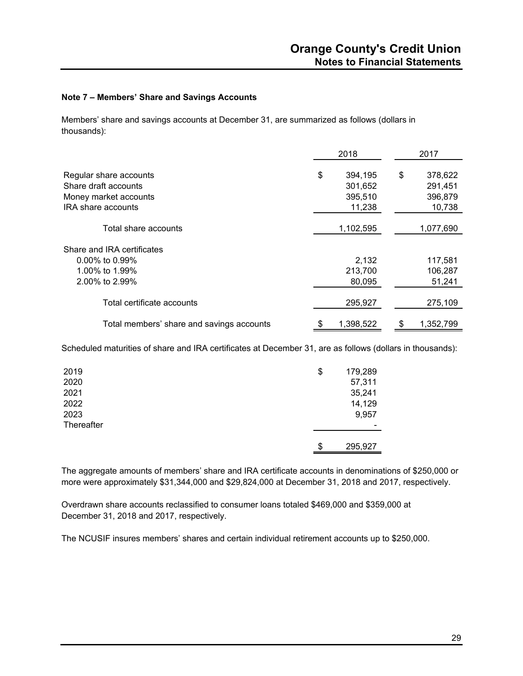#### **Note 7 – Members' Share and Savings Accounts**

Members' share and savings accounts at December 31, are summarized as follows (dollars in thousands):

|                                           | 2018 |           |    | 2017      |  |
|-------------------------------------------|------|-----------|----|-----------|--|
| Regular share accounts                    | \$   | 394,195   | \$ | 378,622   |  |
| Share draft accounts                      |      | 301,652   |    | 291,451   |  |
| Money market accounts                     |      | 395,510   |    | 396,879   |  |
| <b>IRA</b> share accounts                 |      | 11,238    |    | 10,738    |  |
| Total share accounts                      |      | 1,102,595 |    | 1,077,690 |  |
| Share and IRA certificates                |      |           |    |           |  |
| $0.00\%$ to 0.99%                         |      | 2,132     |    | 117,581   |  |
| 1.00% to 1.99%                            |      | 213,700   |    | 106,287   |  |
| 2.00% to 2.99%                            |      | 80,095    |    | 51,241    |  |
| Total certificate accounts                |      | 295,927   |    | 275,109   |  |
| Total members' share and savings accounts |      | 1,398,522 |    | 1,352,799 |  |

Scheduled maturities of share and IRA certificates at December 31, are as follows (dollars in thousands):

| 2019<br>2020<br>2021<br>2022<br>2023<br>Thereafter | \$ | 179,289<br>57,311<br>35,241<br>14,129<br>9,957 |
|----------------------------------------------------|----|------------------------------------------------|
|                                                    | \$ | 295,927                                        |

The aggregate amounts of members' share and IRA certificate accounts in denominations of \$250,000 or more were approximately \$31,344,000 and \$29,824,000 at December 31, 2018 and 2017, respectively.

Overdrawn share accounts reclassified to consumer loans totaled \$469,000 and \$359,000 at December 31, 2018 and 2017, respectively.

The NCUSIF insures members' shares and certain individual retirement accounts up to \$250,000.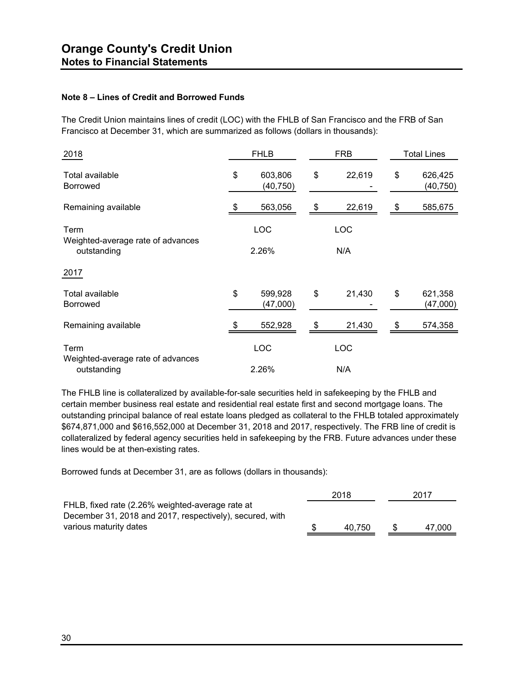#### **Note 8 – Lines of Credit and Borrowed Funds**

The Credit Union maintains lines of credit (LOC) with the FHLB of San Francisco and the FRB of San Francisco at December 31, which are summarized as follows (dollars in thousands):

| 2018                                             | <b>FHLB</b> |                     | <b>FRB</b> |            | <b>Total Lines</b> |                      |  |
|--------------------------------------------------|-------------|---------------------|------------|------------|--------------------|----------------------|--|
| Total available<br><b>Borrowed</b>               | \$          | 603,806<br>(40,750) | \$         | 22,619     | \$                 | 626,425<br>(40, 750) |  |
| Remaining available                              |             | 563,056             | \$         | 22,619     | \$                 | 585,675              |  |
| Term<br>Weighted-average rate of advances        |             | LOC                 |            | <b>LOC</b> |                    |                      |  |
| outstanding                                      | 2.26%       |                     | N/A        |            |                    |                      |  |
| 2017                                             |             |                     |            |            |                    |                      |  |
| Total available<br><b>Borrowed</b>               | \$          | 599,928<br>(47,000) | \$         | 21,430     | \$                 | 621,358<br>(47,000)  |  |
| Remaining available                              |             | 552,928             | \$         | 21,430     | \$                 | 574,358              |  |
| Term                                             |             | LOC                 |            | LOC        |                    |                      |  |
| Weighted-average rate of advances<br>outstanding |             | 2.26%               |            | N/A        |                    |                      |  |

The FHLB line is collateralized by available-for-sale securities held in safekeeping by the FHLB and certain member business real estate and residential real estate first and second mortgage loans. The outstanding principal balance of real estate loans pledged as collateral to the FHLB totaled approximately \$674,871,000 and \$616,552,000 at December 31, 2018 and 2017, respectively. The FRB line of credit is collateralized by federal agency securities held in safekeeping by the FRB. Future advances under these lines would be at then-existing rates.

Borrowed funds at December 31, are as follows (dollars in thousands):

| 2018   | 2017   |
|--------|--------|
|        |        |
|        |        |
| 40.750 | 47.000 |
|        |        |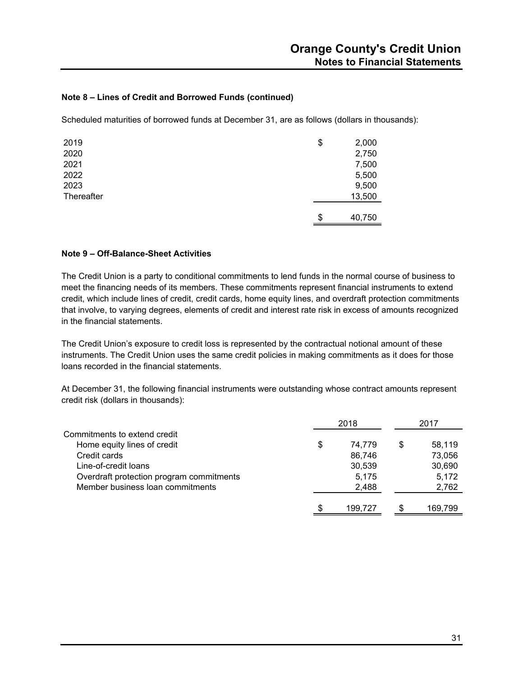#### **Note 8 – Lines of Credit and Borrowed Funds (continued)**

Scheduled maturities of borrowed funds at December 31, are as follows (dollars in thousands):

| 2019       | \$<br>2,000  |
|------------|--------------|
| 2020       | 2,750        |
| 2021       | 7,500        |
| 2022       | 5,500        |
| 2023       | 9,500        |
| Thereafter | 13,500       |
|            |              |
|            | \$<br>40,750 |

#### **Note 9 – Off-Balance-Sheet Activities**

The Credit Union is a party to conditional commitments to lend funds in the normal course of business to meet the financing needs of its members. These commitments represent financial instruments to extend credit, which include lines of credit, credit cards, home equity lines, and overdraft protection commitments that involve, to varying degrees, elements of credit and interest rate risk in excess of amounts recognized in the financial statements.

The Credit Union's exposure to credit loss is represented by the contractual notional amount of these instruments. The Credit Union uses the same credit policies in making commitments as it does for those loans recorded in the financial statements.

At December 31, the following financial instruments were outstanding whose contract amounts represent credit risk (dollars in thousands):

|                                          |     | 2018    | 2017         |
|------------------------------------------|-----|---------|--------------|
| Commitments to extend credit             |     |         |              |
| Home equity lines of credit              | \$  | 74.779  | \$<br>58.119 |
| Credit cards                             |     | 86,746  | 73,056       |
| Line-of-credit loans                     |     | 30,539  | 30,690       |
| Overdraft protection program commitments |     | 5,175   | 5,172        |
| Member business loan commitments         |     | 2,488   | 2,762        |
|                                          | \$. | 199.727 | 169,799      |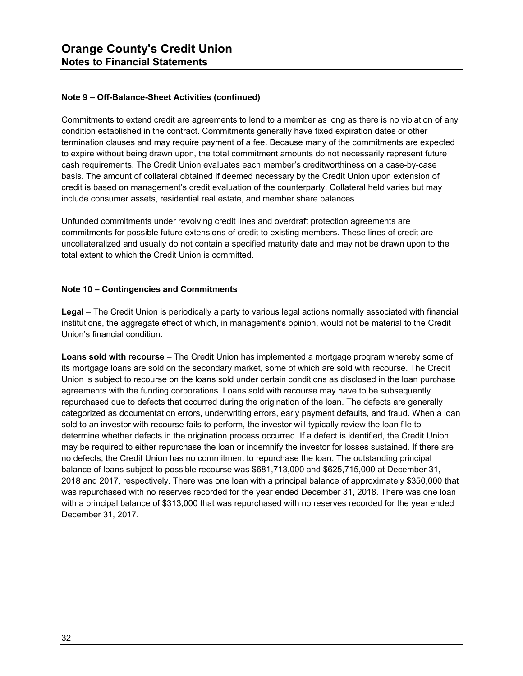#### **Note 9 – Off-Balance-Sheet Activities (continued)**

Commitments to extend credit are agreements to lend to a member as long as there is no violation of any condition established in the contract. Commitments generally have fixed expiration dates or other termination clauses and may require payment of a fee. Because many of the commitments are expected to expire without being drawn upon, the total commitment amounts do not necessarily represent future cash requirements. The Credit Union evaluates each member's creditworthiness on a case-by-case basis. The amount of collateral obtained if deemed necessary by the Credit Union upon extension of credit is based on management's credit evaluation of the counterparty. Collateral held varies but may include consumer assets, residential real estate, and member share balances.

Unfunded commitments under revolving credit lines and overdraft protection agreements are commitments for possible future extensions of credit to existing members. These lines of credit are uncollateralized and usually do not contain a specified maturity date and may not be drawn upon to the total extent to which the Credit Union is committed.

#### **Note 10 – Contingencies and Commitments**

**Legal** – The Credit Union is periodically a party to various legal actions normally associated with financial institutions, the aggregate effect of which, in management's opinion, would not be material to the Credit Union's financial condition.

**Loans sold with recourse** – The Credit Union has implemented a mortgage program whereby some of its mortgage loans are sold on the secondary market, some of which are sold with recourse. The Credit Union is subject to recourse on the loans sold under certain conditions as disclosed in the loan purchase agreements with the funding corporations. Loans sold with recourse may have to be subsequently repurchased due to defects that occurred during the origination of the loan. The defects are generally categorized as documentation errors, underwriting errors, early payment defaults, and fraud. When a loan sold to an investor with recourse fails to perform, the investor will typically review the loan file to determine whether defects in the origination process occurred. If a defect is identified, the Credit Union may be required to either repurchase the loan or indemnify the investor for losses sustained. If there are no defects, the Credit Union has no commitment to repurchase the loan. The outstanding principal balance of loans subject to possible recourse was \$681,713,000 and \$625,715,000 at December 31, 2018 and 2017, respectively. There was one loan with a principal balance of approximately \$350,000 that was repurchased with no reserves recorded for the year ended December 31, 2018. There was one loan with a principal balance of \$313,000 that was repurchased with no reserves recorded for the year ended December 31, 2017.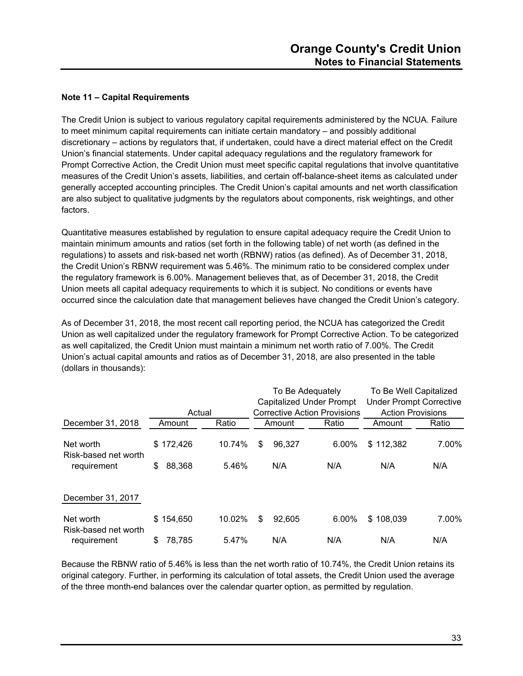#### **Note 11 – Capital Requirements**

The Credit Union is subject to various regulatory capital requirements administered by the NCUA. Failure to meet minimum capital requirements can initiate certain mandatory – and possibly additional discretionary – actions by regulators that, if undertaken, could have a direct material effect on the Credit Union's financial statements. Under capital adequacy regulations and the regulatory framework for Prompt Corrective Action, the Credit Union must meet specific capital regulations that involve quantitative measures of the Credit Union's assets, liabilities, and certain off-balance-sheet items as calculated under generally accepted accounting principles. The Credit Union's capital amounts and net worth classification are also subject to qualitative judgments by the regulators about components, risk weightings, and other factors.

Quantitative measures established by regulation to ensure capital adequacy require the Credit Union to maintain minimum amounts and ratios (set forth in the following table) of net worth (as defined in the regulations) to assets and risk-based net worth (RBNW) ratios (as defined). As of December 31, 2018, the Credit Union's RBNW requirement was 5.46%. The minimum ratio to be considered complex under the regulatory framework is 6.00%. Management believes that, as of December 31, 2018, the Credit Union meets all capital adequacy requirements to which it is subject. No conditions or events have occurred since the calculation date that management believes have changed the Credit Union's category.

As of December 31, 2018, the most recent call reporting period, the NCUA has categorized the Credit Union as well capitalized under the regulatory framework for Prompt Corrective Action. To be categorized as well capitalized, the Credit Union must maintain a minimum net worth ratio of 7.00%. The Credit Union's actual capital amounts and ratios as of December 31, 2018, are also presented in the table (dollars in thousands):

|                                   |              |        | To Be Adequately<br><b>Capitalized Under Prompt</b> |        | To Be Well Capitalized<br><b>Under Prompt Corrective</b> |                          |       |
|-----------------------------------|--------------|--------|-----------------------------------------------------|--------|----------------------------------------------------------|--------------------------|-------|
|                                   | Actual       |        |                                                     |        | <b>Corrective Action Provisions</b>                      | <b>Action Provisions</b> |       |
| December 31, 2018                 | Amount       | Ratio  |                                                     | Amount | Ratio                                                    | Amount                   | Ratio |
| Net worth<br>Risk-based net worth | \$172,426    | 10.74% | \$                                                  | 96,327 | 6.00%                                                    | \$112,382                | 7.00% |
| requirement                       | \$<br>88,368 | 5.46%  |                                                     | N/A    | N/A                                                      | N/A                      | N/A   |
| December 31, 2017                 |              |        |                                                     |        |                                                          |                          |       |
| Net worth<br>Risk-based net worth | \$154,650    | 10.02% | \$                                                  | 92.605 | 6.00%                                                    | \$108,039                | 7.00% |
| requirement                       | \$<br>78,785 | 5.47%  |                                                     | N/A    | N/A                                                      | N/A                      | N/A   |

Because the RBNW ratio of 5.46% is less than the net worth ratio of 10.74%, the Credit Union retains its original category. Further, in performing its calculation of total assets, the Credit Union used the average of the three month-end balances over the calendar quarter option, as permitted by regulation.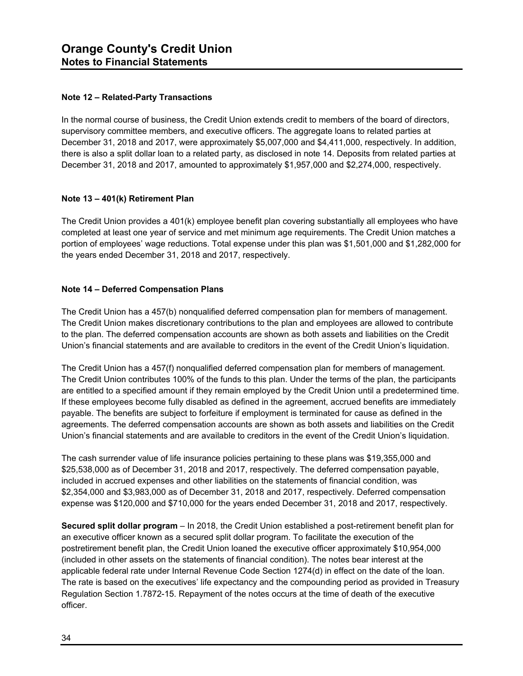#### **Note 12 – Related-Party Transactions**

In the normal course of business, the Credit Union extends credit to members of the board of directors, supervisory committee members, and executive officers. The aggregate loans to related parties at December 31, 2018 and 2017, were approximately \$5,007,000 and \$4,411,000, respectively. In addition, there is also a split dollar loan to a related party, as disclosed in note 14. Deposits from related parties at December 31, 2018 and 2017, amounted to approximately \$1,957,000 and \$2,274,000, respectively.

#### **Note 13 – 401(k) Retirement Plan**

The Credit Union provides a 401(k) employee benefit plan covering substantially all employees who have completed at least one year of service and met minimum age requirements. The Credit Union matches a portion of employees' wage reductions. Total expense under this plan was \$1,501,000 and \$1,282,000 for the years ended December 31, 2018 and 2017, respectively.

#### **Note 14 – Deferred Compensation Plans**

The Credit Union has a 457(b) nonqualified deferred compensation plan for members of management. The Credit Union makes discretionary contributions to the plan and employees are allowed to contribute to the plan. The deferred compensation accounts are shown as both assets and liabilities on the Credit Union's financial statements and are available to creditors in the event of the Credit Union's liquidation.

The Credit Union has a 457(f) nonqualified deferred compensation plan for members of management. The Credit Union contributes 100% of the funds to this plan. Under the terms of the plan, the participants are entitled to a specified amount if they remain employed by the Credit Union until a predetermined time. If these employees become fully disabled as defined in the agreement, accrued benefits are immediately payable. The benefits are subject to forfeiture if employment is terminated for cause as defined in the agreements. The deferred compensation accounts are shown as both assets and liabilities on the Credit Union's financial statements and are available to creditors in the event of the Credit Union's liquidation.

The cash surrender value of life insurance policies pertaining to these plans was \$19,355,000 and \$25,538,000 as of December 31, 2018 and 2017, respectively. The deferred compensation payable, included in accrued expenses and other liabilities on the statements of financial condition, was \$2,354,000 and \$3,983,000 as of December 31, 2018 and 2017, respectively. Deferred compensation expense was \$120,000 and \$710,000 for the years ended December 31, 2018 and 2017, respectively.

**Secured split dollar program** – In 2018, the Credit Union established a post-retirement benefit plan for an executive officer known as a secured split dollar program. To facilitate the execution of the postretirement benefit plan, the Credit Union loaned the executive officer approximately \$10,954,000 (included in other assets on the statements of financial condition). The notes bear interest at the applicable federal rate under Internal Revenue Code Section 1274(d) in effect on the date of the loan. The rate is based on the executives' life expectancy and the compounding period as provided in Treasury Regulation Section 1.7872-15. Repayment of the notes occurs at the time of death of the executive officer.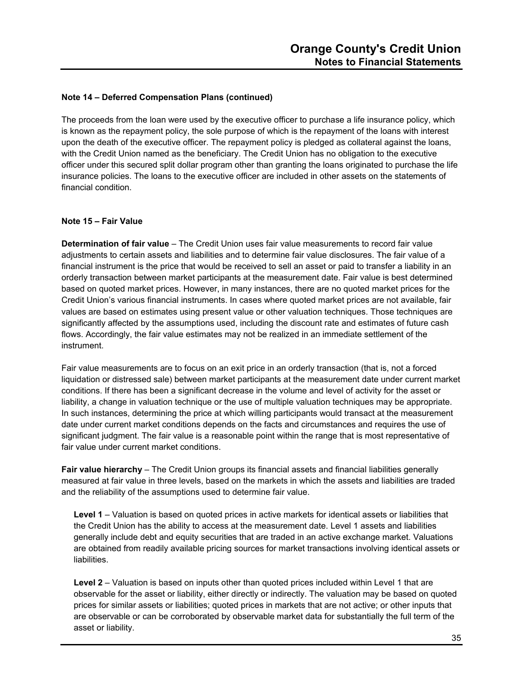#### **Note 14 – Deferred Compensation Plans (continued)**

The proceeds from the loan were used by the executive officer to purchase a life insurance policy, which is known as the repayment policy, the sole purpose of which is the repayment of the loans with interest upon the death of the executive officer. The repayment policy is pledged as collateral against the loans, with the Credit Union named as the beneficiary. The Credit Union has no obligation to the executive officer under this secured split dollar program other than granting the loans originated to purchase the life insurance policies. The loans to the executive officer are included in other assets on the statements of financial condition.

#### **Note 15 – Fair Value**

**Determination of fair value** – The Credit Union uses fair value measurements to record fair value adjustments to certain assets and liabilities and to determine fair value disclosures. The fair value of a financial instrument is the price that would be received to sell an asset or paid to transfer a liability in an orderly transaction between market participants at the measurement date. Fair value is best determined based on quoted market prices. However, in many instances, there are no quoted market prices for the Credit Union's various financial instruments. In cases where quoted market prices are not available, fair values are based on estimates using present value or other valuation techniques. Those techniques are significantly affected by the assumptions used, including the discount rate and estimates of future cash flows. Accordingly, the fair value estimates may not be realized in an immediate settlement of the instrument.

Fair value measurements are to focus on an exit price in an orderly transaction (that is, not a forced liquidation or distressed sale) between market participants at the measurement date under current market conditions. If there has been a significant decrease in the volume and level of activity for the asset or liability, a change in valuation technique or the use of multiple valuation techniques may be appropriate. In such instances, determining the price at which willing participants would transact at the measurement date under current market conditions depends on the facts and circumstances and requires the use of significant judgment. The fair value is a reasonable point within the range that is most representative of fair value under current market conditions.

**Fair value hierarchy** – The Credit Union groups its financial assets and financial liabilities generally measured at fair value in three levels, based on the markets in which the assets and liabilities are traded and the reliability of the assumptions used to determine fair value.

**Level 1** – Valuation is based on quoted prices in active markets for identical assets or liabilities that the Credit Union has the ability to access at the measurement date. Level 1 assets and liabilities generally include debt and equity securities that are traded in an active exchange market. Valuations are obtained from readily available pricing sources for market transactions involving identical assets or liabilities.

**Level 2** – Valuation is based on inputs other than quoted prices included within Level 1 that are observable for the asset or liability, either directly or indirectly. The valuation may be based on quoted prices for similar assets or liabilities; quoted prices in markets that are not active; or other inputs that are observable or can be corroborated by observable market data for substantially the full term of the asset or liability.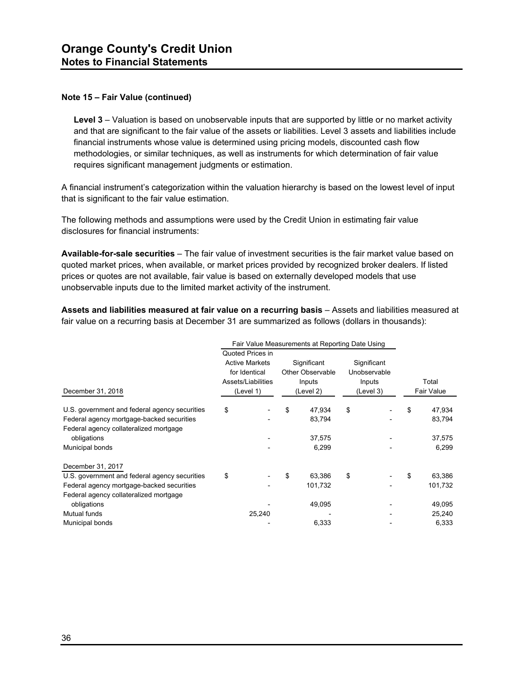#### **Note 15 – Fair Value (continued)**

**Level 3** – Valuation is based on unobservable inputs that are supported by little or no market activity and that are significant to the fair value of the assets or liabilities. Level 3 assets and liabilities include financial instruments whose value is determined using pricing models, discounted cash flow methodologies, or similar techniques, as well as instruments for which determination of fair value requires significant management judgments or estimation.

A financial instrument's categorization within the valuation hierarchy is based on the lowest level of input that is significant to the fair value estimation.

The following methods and assumptions were used by the Credit Union in estimating fair value disclosures for financial instruments:

**Available-for-sale securities** – The fair value of investment securities is the fair market value based on quoted market prices, when available, or market prices provided by recognized broker dealers. If listed prices or quotes are not available, fair value is based on externally developed models that use unobservable inputs due to the limited market activity of the instrument.

**Assets and liabilities measured at fair value on a recurring basis** – Assets and liabilities measured at fair value on a recurring basis at December 31 are summarized as follows (dollars in thousands):

| Fair Value Measurements at Reporting Date Using |    |                       |    |                         |           |              |            |         |
|-------------------------------------------------|----|-----------------------|----|-------------------------|-----------|--------------|------------|---------|
|                                                 |    | Quoted Prices in      |    |                         |           |              |            |         |
|                                                 |    | <b>Active Markets</b> |    | Significant             |           | Significant  |            |         |
|                                                 |    | for Identical         |    | <b>Other Observable</b> |           | Unobservable |            |         |
|                                                 |    | Assets/Liabilities    |    | Inputs                  |           | Inputs       |            | Total   |
| December 31, 2018                               |    | (Level 1)             |    | (Level 2)               | (Level 3) |              | Fair Value |         |
| U.S. government and federal agency securities   | \$ |                       | \$ | 47,934                  | \$        |              | \$         | 47,934  |
| Federal agency mortgage-backed securities       |    |                       |    | 83,794                  |           |              |            | 83,794  |
| Federal agency collateralized mortgage          |    |                       |    |                         |           |              |            |         |
| obligations                                     |    |                       |    | 37,575                  |           |              |            | 37,575  |
| Municipal bonds                                 |    |                       |    | 6,299                   |           |              |            | 6,299   |
| December 31, 2017                               |    |                       |    |                         |           |              |            |         |
| U.S. government and federal agency securities   | \$ |                       | \$ | 63,386                  | \$        |              | \$         | 63,386  |
| Federal agency mortgage-backed securities       |    |                       |    | 101,732                 |           |              |            | 101,732 |
| Federal agency collateralized mortgage          |    |                       |    |                         |           |              |            |         |
| obligations                                     |    |                       |    | 49,095                  |           |              |            | 49,095  |
| Mutual funds                                    |    | 25,240                |    |                         |           |              |            | 25,240  |
| Municipal bonds                                 |    |                       |    | 6,333                   |           |              |            | 6,333   |